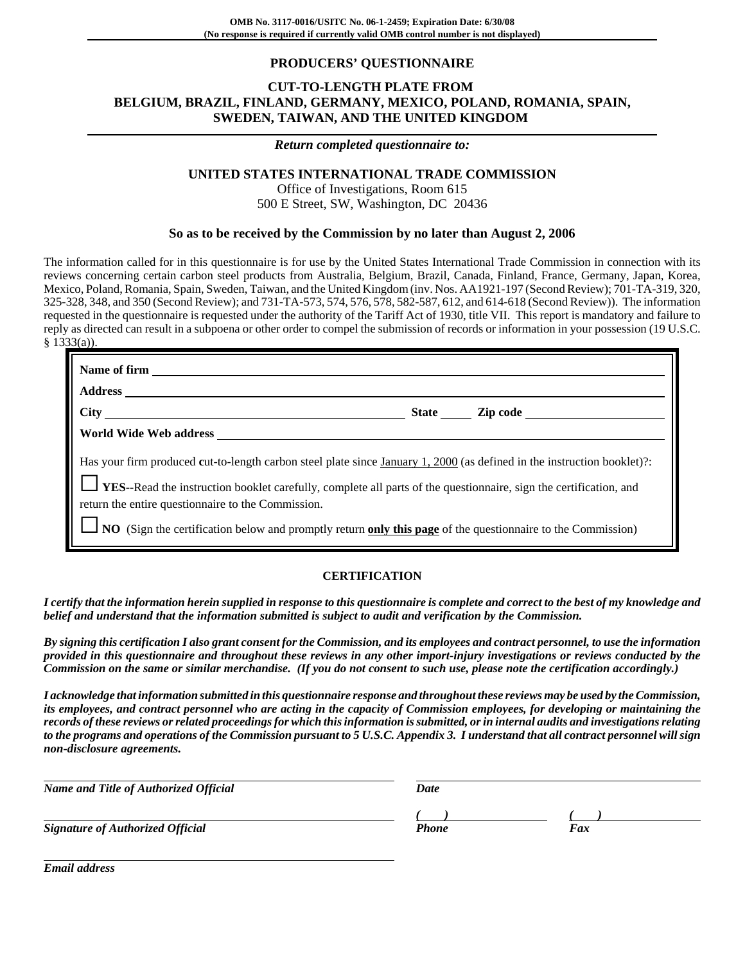## **PRODUCERS' QUESTIONNAIRE**

## **CUT-TO-LENGTH PLATE FROM BELGIUM, BRAZIL, FINLAND, GERMANY, MEXICO, POLAND, ROMANIA, SPAIN, SWEDEN, TAIWAN, AND THE UNITED KINGDOM**

#### *Return completed questionnaire to:*

## **UNITED STATES INTERNATIONAL TRADE COMMISSION**

Office of Investigations, Room 615 500 E Street, SW, Washington, DC 20436

#### **So as to be received by the Commission by no later than August 2, 2006**

The information called for in this questionnaire is for use by the United States International Trade Commission in connection with its reviews concerning certain carbon steel products from Australia, Belgium, Brazil, Canada, Finland, France, Germany, Japan, Korea, Mexico, Poland, Romania, Spain, Sweden, Taiwan, and the United Kingdom (inv. Nos. AA1921-197 (Second Review); 701-TA-319, 320, 325-328, 348, and 350 (Second Review); and 731-TA-573, 574, 576, 578, 582-587, 612, and 614-618 (Second Review)). The information requested in the questionnaire is requested under the authority of the Tariff Act of 1930, title VII. This report is mandatory and failure to reply as directed can result in a subpoena or other order to compel the submission of records or information in your possession (19 U.S.C. § 1333(a)).

| Name of firm                                                                                                                                                                                                                                                                                              |                       |
|-----------------------------------------------------------------------------------------------------------------------------------------------------------------------------------------------------------------------------------------------------------------------------------------------------------|-----------------------|
| <b>Address</b>                                                                                                                                                                                                                                                                                            |                       |
|                                                                                                                                                                                                                                                                                                           | State <u>Cip</u> code |
| World Wide Web address North States and States and States and States and States and States and States and States and States and States and States and States and States and States and States and States and States and States                                                                            |                       |
| Has your firm produced cut-to-length carbon steel plate since January 1, 2000 (as defined in the instruction booklet)?<br><b>LES</b> --Read the instruction booklet carefully, complete all parts of the questionnaire, sign the certification, and<br>return the entire questionnaire to the Commission. |                       |
| NO (Sign the certification below and promptly return only this page of the questionnaire to the Commission)                                                                                                                                                                                               |                       |

#### **CERTIFICATION**

*I certify that the information herein supplied in response to this questionnaire is complete and correct to the best of my knowledge and belief and understand that the information submitted is subject to audit and verification by the Commission.*

*By signing this certification I also grant consent for the Commission, and its employees and contract personnel, to use the information provided in this questionnaire and throughout these reviews in any other import-injury investigations or reviews conducted by the Commission on the same or similar merchandise. (If you do not consent to such use, please note the certification accordingly.)*

*I acknowledge that information submitted in this questionnaire response and throughout these reviews may be used by the Commission, its employees, and contract personnel who are acting in the capacity of Commission employees, for developing or maintaining the records of these reviews or related proceedings for which this information is submitted, or in internal audits and investigations relating to the programs and operations of the Commission pursuant to 5 U.S.C. Appendix 3. I understand that all contract personnel will sign non-disclosure agreements.*

| Date         |     |  |
|--------------|-----|--|
|              |     |  |
| <b>Phone</b> | Fax |  |
|              |     |  |

*Email address*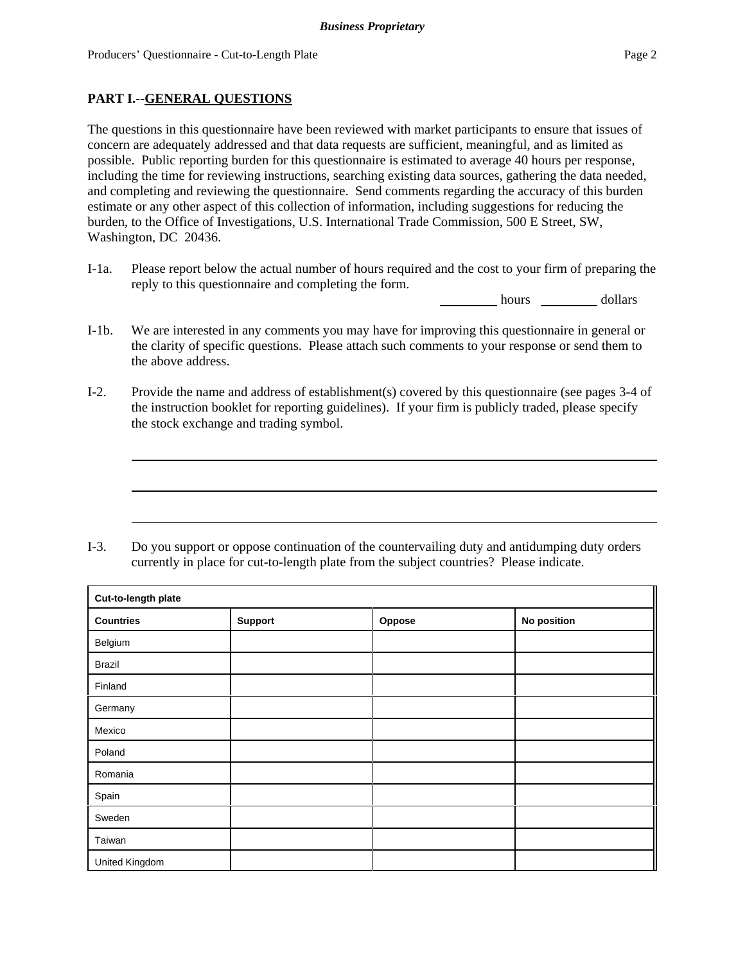## **PART I.--GENERAL QUESTIONS**

The questions in this questionnaire have been reviewed with market participants to ensure that issues of concern are adequately addressed and that data requests are sufficient, meaningful, and as limited as possible. Public reporting burden for this questionnaire is estimated to average 40 hours per response, including the time for reviewing instructions, searching existing data sources, gathering the data needed, and completing and reviewing the questionnaire. Send comments regarding the accuracy of this burden estimate or any other aspect of this collection of information, including suggestions for reducing the burden, to the Office of Investigations, U.S. International Trade Commission, 500 E Street, SW, Washington, DC 20436.

I-1a. Please report below the actual number of hours required and the cost to your firm of preparing the reply to this questionnaire and completing the form.

hours dollars

- I-1b. We are interested in any comments you may have for improving this questionnaire in general or the clarity of specific questions. Please attach such comments to your response or send them to the above address.
- I-2. Provide the name and address of establishment(s) covered by this questionnaire (see pages 3-4 of the instruction booklet for reporting guidelines). If your firm is publicly traded, please specify the stock exchange and trading symbol.

I-3. Do you support or oppose continuation of the countervailing duty and antidumping duty orders currently in place for cut-to-length plate from the subject countries? Please indicate.

| Cut-to-length plate |         |        |             |  |  |
|---------------------|---------|--------|-------------|--|--|
| <b>Countries</b>    | Support | Oppose | No position |  |  |
| Belgium             |         |        |             |  |  |
| <b>Brazil</b>       |         |        |             |  |  |
| Finland             |         |        |             |  |  |
| Germany             |         |        |             |  |  |
| Mexico              |         |        |             |  |  |
| Poland              |         |        |             |  |  |
| Romania             |         |        |             |  |  |
| Spain               |         |        |             |  |  |
| Sweden              |         |        |             |  |  |
| Taiwan              |         |        |             |  |  |
| United Kingdom      |         |        |             |  |  |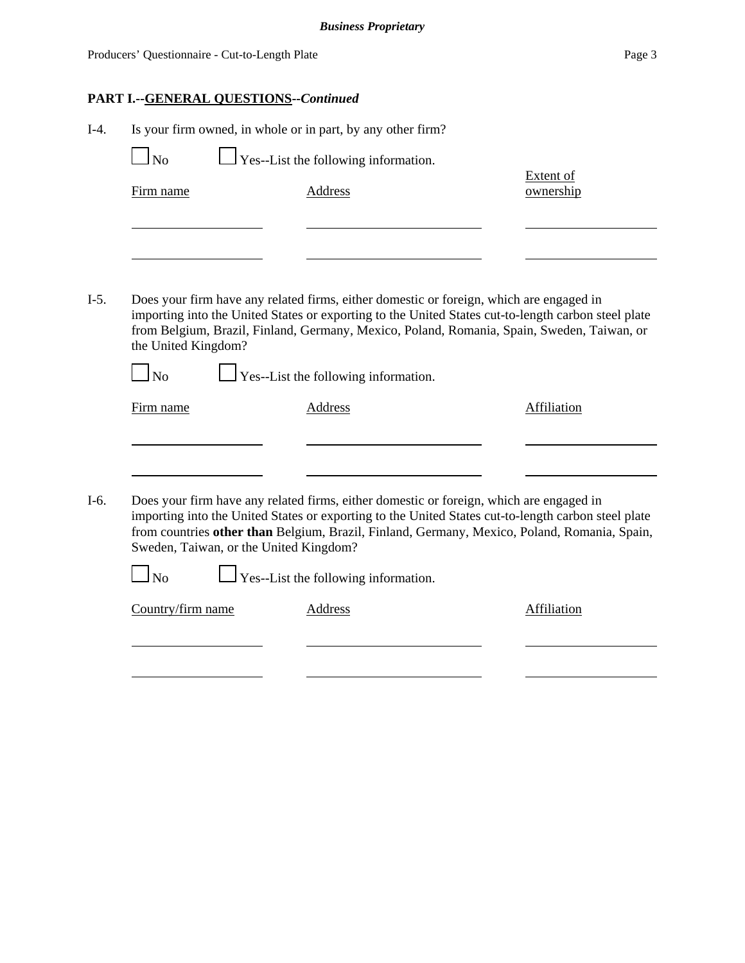# **PART I.--GENERAL QUESTIONS--***Continued*

| $I-4.$ | Is your firm owned, in whole or in part, by any other firm? |                                                                                                                                                                                                                                                                                                |                               |  |  |  |
|--------|-------------------------------------------------------------|------------------------------------------------------------------------------------------------------------------------------------------------------------------------------------------------------------------------------------------------------------------------------------------------|-------------------------------|--|--|--|
|        | <b>No</b>                                                   | Yes--List the following information.                                                                                                                                                                                                                                                           |                               |  |  |  |
|        | Firm name                                                   | <b>Address</b>                                                                                                                                                                                                                                                                                 | <b>Extent of</b><br>ownership |  |  |  |
|        |                                                             |                                                                                                                                                                                                                                                                                                |                               |  |  |  |
|        |                                                             |                                                                                                                                                                                                                                                                                                |                               |  |  |  |
| $I-5.$ | the United Kingdom?                                         | Does your firm have any related firms, either domestic or foreign, which are engaged in<br>importing into the United States or exporting to the United States cut-to-length carbon steel plate<br>from Belgium, Brazil, Finland, Germany, Mexico, Poland, Romania, Spain, Sweden, Taiwan, or   |                               |  |  |  |
|        | $\Box$ No                                                   | $\perp$ Yes--List the following information.                                                                                                                                                                                                                                                   |                               |  |  |  |
|        | Firm name                                                   | Address                                                                                                                                                                                                                                                                                        | Affiliation                   |  |  |  |
|        |                                                             |                                                                                                                                                                                                                                                                                                |                               |  |  |  |
| I-6.   | Sweden, Taiwan, or the United Kingdom?                      | Does your firm have any related firms, either domestic or foreign, which are engaged in<br>importing into the United States or exporting to the United States cut-to-length carbon steel plate<br>from countries other than Belgium, Brazil, Finland, Germany, Mexico, Poland, Romania, Spain, |                               |  |  |  |
|        | No                                                          | Yes--List the following information.                                                                                                                                                                                                                                                           |                               |  |  |  |
|        | Country/firm name                                           | <b>Address</b>                                                                                                                                                                                                                                                                                 | <b>Affiliation</b>            |  |  |  |
|        |                                                             |                                                                                                                                                                                                                                                                                                |                               |  |  |  |
|        |                                                             |                                                                                                                                                                                                                                                                                                |                               |  |  |  |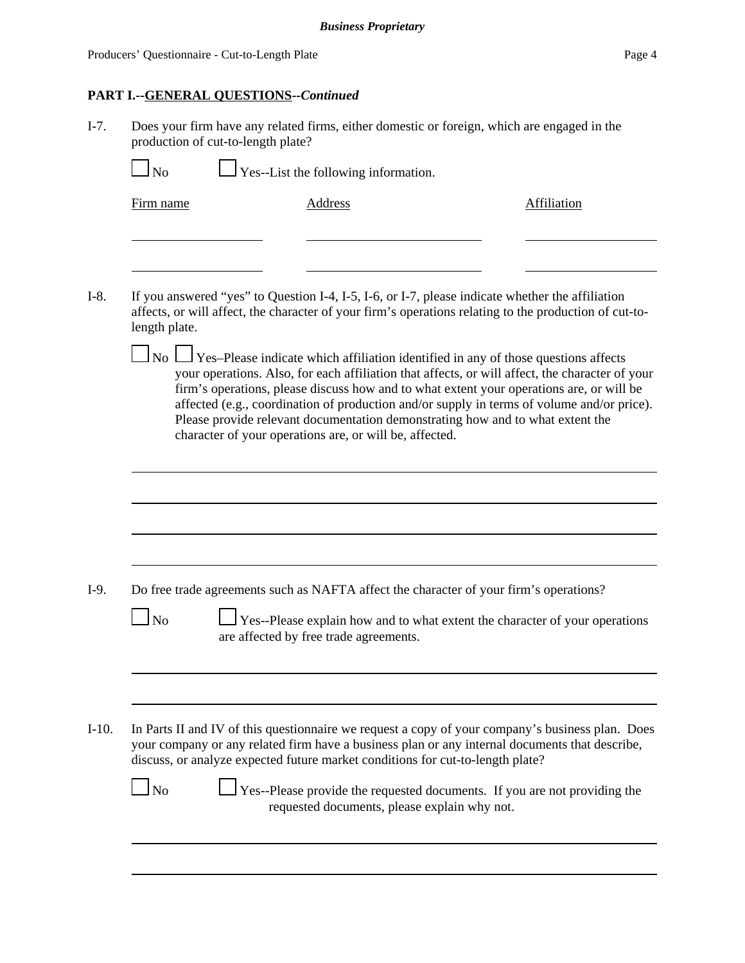# **PART I.--GENERAL QUESTIONS--***Continued*

I-7. Does your firm have any related firms, either domestic or foreign, which are engaged in the production of cut-to-length plate?

| Firm name      | <b>Address</b>                                                                                                                                                                                                                                                                                                                                                                                                                                                                                                                                | <b>Affiliation</b> |
|----------------|-----------------------------------------------------------------------------------------------------------------------------------------------------------------------------------------------------------------------------------------------------------------------------------------------------------------------------------------------------------------------------------------------------------------------------------------------------------------------------------------------------------------------------------------------|--------------------|
| length plate.  | If you answered "yes" to Question I-4, I-5, I-6, or I-7, please indicate whether the affiliation<br>affects, or will affect, the character of your firm's operations relating to the production of cut-to-                                                                                                                                                                                                                                                                                                                                    |                    |
|                | $\Box$ No $\Box$ Yes–Please indicate which affiliation identified in any of those questions affects<br>your operations. Also, for each affiliation that affects, or will affect, the character of your<br>firm's operations, please discuss how and to what extent your operations are, or will be<br>affected (e.g., coordination of production and/or supply in terms of volume and/or price).<br>Please provide relevant documentation demonstrating how and to what extent the<br>character of your operations are, or will be, affected. |                    |
|                | Do free trade agreements such as NAFTA affect the character of your firm's operations?                                                                                                                                                                                                                                                                                                                                                                                                                                                        |                    |
| N <sub>0</sub> | Yes--Please explain how and to what extent the character of your operations<br>are affected by free trade agreements.                                                                                                                                                                                                                                                                                                                                                                                                                         |                    |
|                |                                                                                                                                                                                                                                                                                                                                                                                                                                                                                                                                               |                    |
|                | In Parts II and IV of this questionnaire we request a copy of your company's business plan. Does<br>your company or any related firm have a business plan or any internal documents that describe,<br>discuss, or analyze expected future market conditions for cut-to-length plate?                                                                                                                                                                                                                                                          |                    |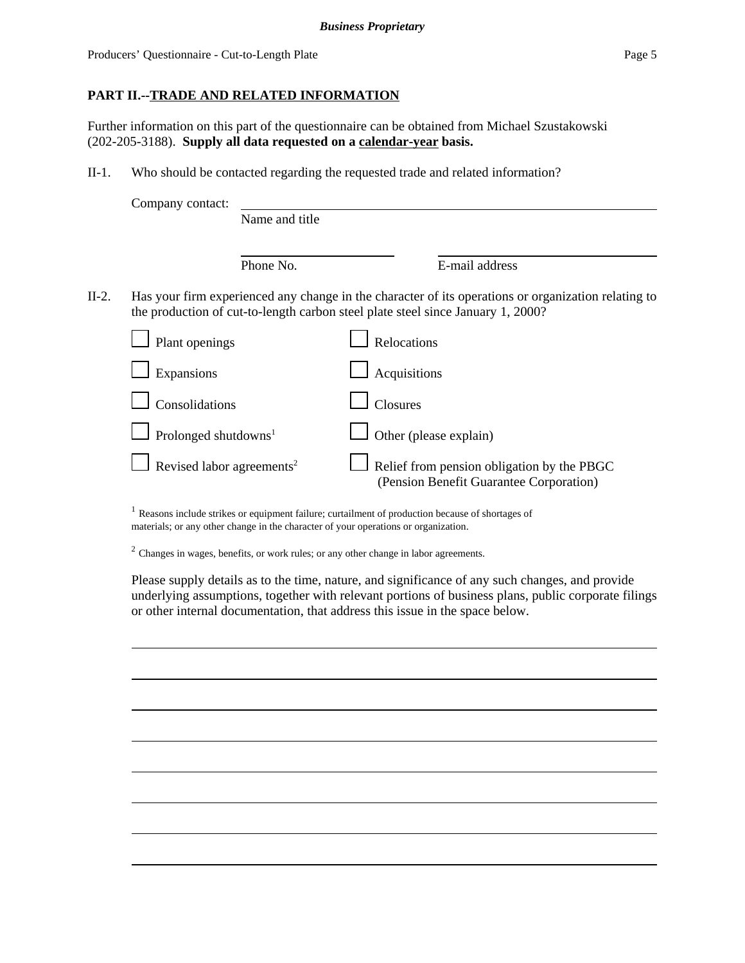Producers' Questionnaire - Cut-to-Length Plate Page 5

# **PART II.--TRADE AND RELATED INFORMATION**

Further information on this part of the questionnaire can be obtained from Michael Szustakowski (202-205-3188). **Supply all data requested on a calendar-year basis.**

II-1. Who should be contacted regarding the requested trade and related information?

|         | Company contact:                      | Name and title |                                                                                                                                                                                        |
|---------|---------------------------------------|----------------|----------------------------------------------------------------------------------------------------------------------------------------------------------------------------------------|
|         |                                       | Phone No.      | E-mail address                                                                                                                                                                         |
| $II-2.$ |                                       |                | Has your firm experienced any change in the character of its operations or organization relating to<br>the production of cut-to-length carbon steel plate steel since January 1, 2000? |
|         | Plant openings                        |                | Relocations                                                                                                                                                                            |
|         | Expansions                            |                | Acquisitions                                                                                                                                                                           |
|         | Consolidations                        |                | <b>Closures</b>                                                                                                                                                                        |
|         | Prolonged shutdowns <sup>1</sup>      |                | Other (please explain)                                                                                                                                                                 |
|         | Revised labor agreements <sup>2</sup> |                | Relief from pension obligation by the PBGC<br>(Pension Benefit Guarantee Corporation)                                                                                                  |

 $<sup>1</sup>$  Reasons include strikes or equipment failure; curtailment of production because of shortages of</sup> materials; or any other change in the character of your operations or organization.

<sup>2</sup> Changes in wages, benefits, or work rules; or any other change in labor agreements.

Please supply details as to the time, nature, and significance of any such changes, and provide underlying assumptions, together with relevant portions of business plans, public corporate filings or other internal documentation, that address this issue in the space below.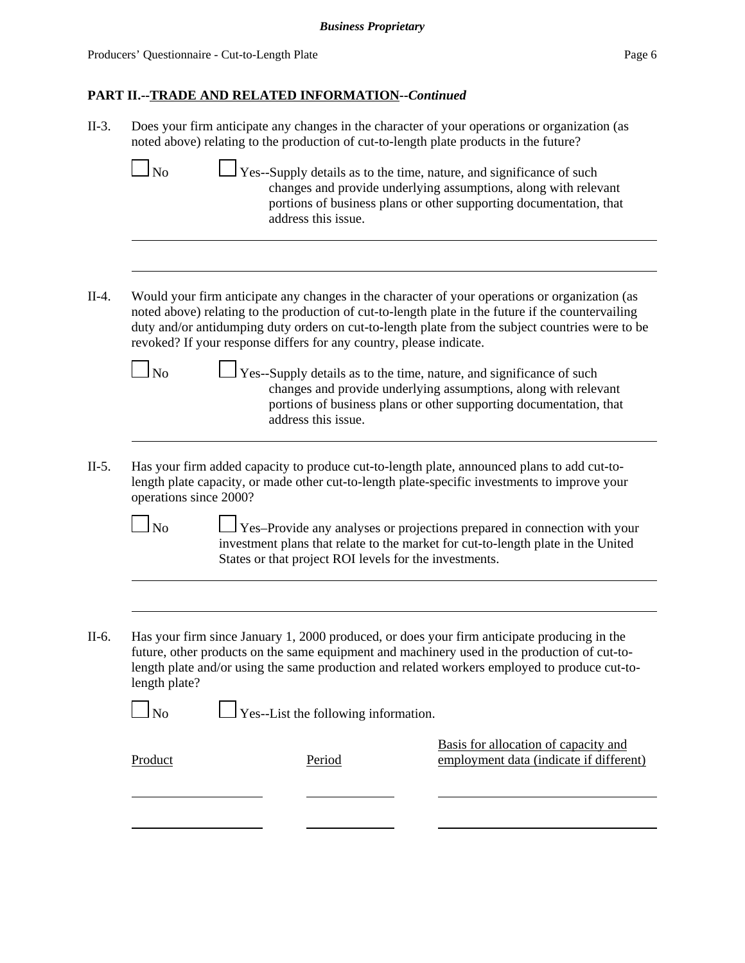|                             | Does your firm anticipate any changes in the character of your operations or organization (as<br>noted above) relating to the production of cut-to-length plate products in the future?                                                                                                                                                                                         |
|-----------------------------|---------------------------------------------------------------------------------------------------------------------------------------------------------------------------------------------------------------------------------------------------------------------------------------------------------------------------------------------------------------------------------|
| $\Box$ No                   | $\perp$ Yes--Supply details as to the time, nature, and significance of such<br>changes and provide underlying assumptions, along with relevant<br>portions of business plans or other supporting documentation, that<br>address this issue.                                                                                                                                    |
|                             | Would your firm anticipate any changes in the character of your operations or organization (as<br>noted above) relating to the production of cut-to-length plate in the future if the countervailing<br>duty and/or antidumping duty orders on cut-to-length plate from the subject countries were to be<br>revoked? If your response differs for any country, please indicate. |
| $\mathbf{\underline{I}}$ No | Yes--Supply details as to the time, nature, and significance of such<br>changes and provide underlying assumptions, along with relevant<br>portions of business plans or other supporting documentation, that<br>address this issue.                                                                                                                                            |
|                             | Has your firm added capacity to produce cut-to-length plate, announced plans to add cut-to-                                                                                                                                                                                                                                                                                     |
| $\ln$                       | length plate capacity, or made other cut-to-length plate-specific investments to improve your<br>operations since 2000?<br>Yes-Provide any analyses or projections prepared in connection with your<br>investment plans that relate to the market for cut-to-length plate in the United                                                                                         |
|                             | States or that project ROI levels for the investments.                                                                                                                                                                                                                                                                                                                          |
| length plate?               | Has your firm since January 1, 2000 produced, or does your firm anticipate producing in the<br>future, other products on the same equipment and machinery used in the production of cut-to-<br>length plate and/or using the same production and related workers employed to produce cut-to-                                                                                    |
| $\ln 0$                     | $\Box$ Yes--List the following information.                                                                                                                                                                                                                                                                                                                                     |
| Product                     | Basis for allocation of capacity and<br>employment data (indicate if different)<br>Period                                                                                                                                                                                                                                                                                       |
|                             |                                                                                                                                                                                                                                                                                                                                                                                 |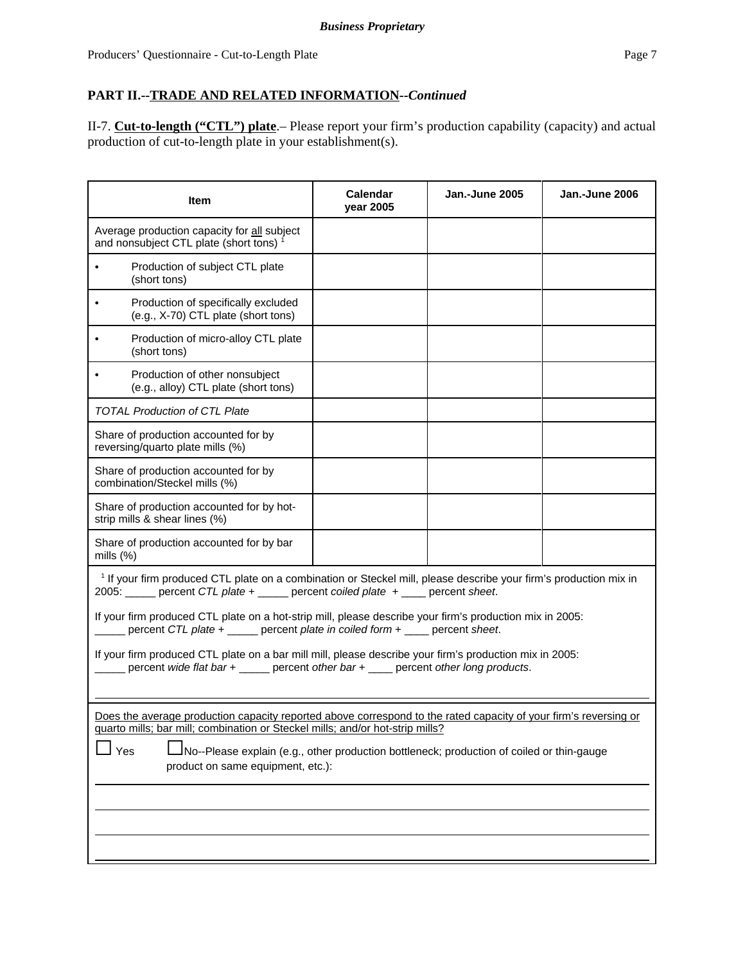II-7. **Cut-to-length ("CTL") plate**.– Please report your firm's production capability (capacity) and actual production of cut-to-length plate in your establishment(s).

| Item                                                                                                                                                                                                                                                                                                                                       | Calendar<br>year 2005 | Jan.-June 2005 | Jan.-June 2006 |  |
|--------------------------------------------------------------------------------------------------------------------------------------------------------------------------------------------------------------------------------------------------------------------------------------------------------------------------------------------|-----------------------|----------------|----------------|--|
| Average production capacity for all subject<br>and nonsubject CTL plate (short tons) <sup>1</sup>                                                                                                                                                                                                                                          |                       |                |                |  |
| Production of subject CTL plate<br>$\bullet$<br>(short tons)                                                                                                                                                                                                                                                                               |                       |                |                |  |
| Production of specifically excluded<br>$\bullet$<br>(e.g., X-70) CTL plate (short tons)                                                                                                                                                                                                                                                    |                       |                |                |  |
| Production of micro-alloy CTL plate<br>(short tons)                                                                                                                                                                                                                                                                                        |                       |                |                |  |
| Production of other nonsubject<br>(e.g., alloy) CTL plate (short tons)                                                                                                                                                                                                                                                                     |                       |                |                |  |
| <b>TOTAL Production of CTL Plate</b>                                                                                                                                                                                                                                                                                                       |                       |                |                |  |
| Share of production accounted for by<br>reversing/quarto plate mills (%)                                                                                                                                                                                                                                                                   |                       |                |                |  |
| Share of production accounted for by<br>combination/Steckel mills (%)                                                                                                                                                                                                                                                                      |                       |                |                |  |
| Share of production accounted for by hot-<br>strip mills & shear lines (%)                                                                                                                                                                                                                                                                 |                       |                |                |  |
| Share of production accounted for by bar<br>mills (%)                                                                                                                                                                                                                                                                                      |                       |                |                |  |
| <sup>1</sup> If your firm produced CTL plate on a combination or Steckel mill, please describe your firm's production mix in<br>2005: _____ percent CTL plate + _____ percent coiled plate + ____ percent sheet.                                                                                                                           |                       |                |                |  |
| If your firm produced CTL plate on a hot-strip mill, please describe your firm's production mix in 2005:<br>percent CTL plate + _____ percent plate in coiled form + ____ percent sheet.                                                                                                                                                   |                       |                |                |  |
| If your firm produced CTL plate on a bar mill mill, please describe your firm's production mix in 2005:<br>percent wide flat bar + _____ percent other bar + ____ percent other long products.                                                                                                                                             |                       |                |                |  |
| Does the average production capacity reported above correspond to the rated capacity of your firm's reversing or<br>quarto mills; bar mill; combination or Steckel mills; and/or hot-strip mills?<br>Yes<br>No--Please explain (e.g., other production bottleneck; production of coiled or thin-gauge<br>product on same equipment, etc.): |                       |                |                |  |
|                                                                                                                                                                                                                                                                                                                                            |                       |                |                |  |
|                                                                                                                                                                                                                                                                                                                                            |                       |                |                |  |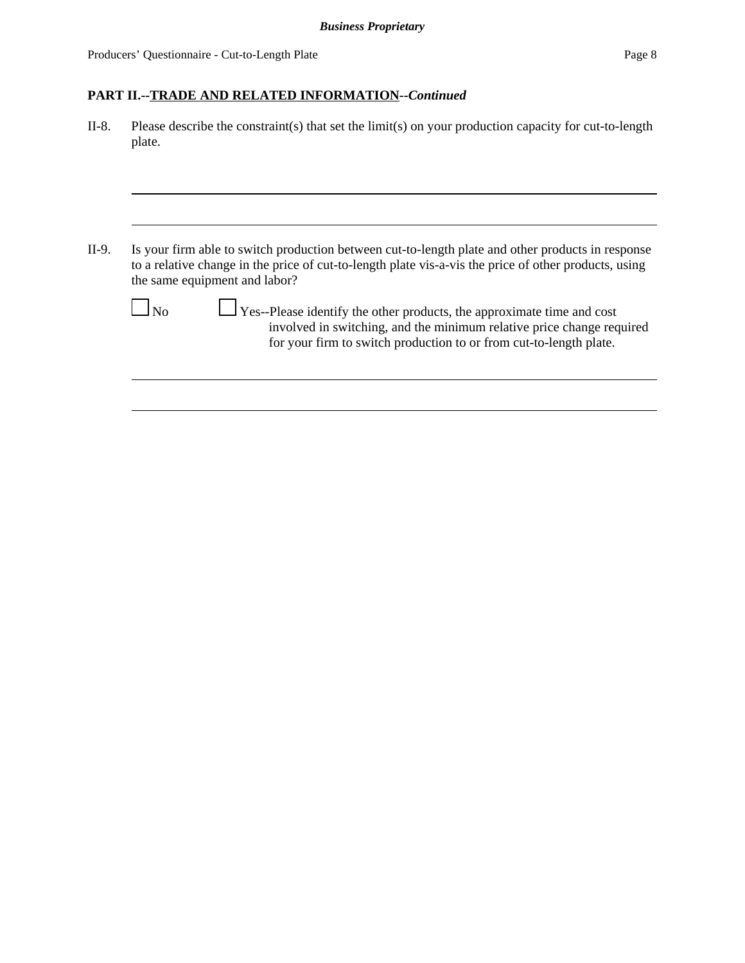II-8. Please describe the constraint(s) that set the limit(s) on your production capacity for cut-to-length plate.

II-9. Is your firm able to switch production between cut-to-length plate and other products in response to a relative change in the price of cut-to-length plate vis-a-vis the price of other products, using the same equipment and labor?

 $\Box$  Yes--Please identify the other products, the approximate time and cost involved in switching, and the minimum relative price change required for your firm to switch production to or from cut-to-length plate.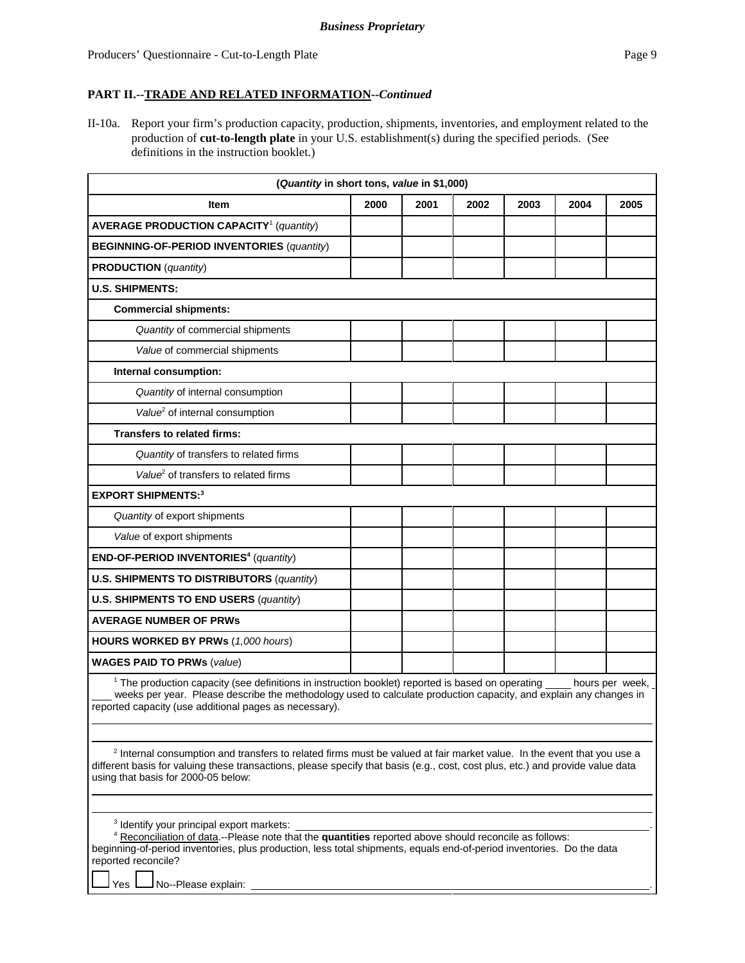II-10a. Report your firm's production capacity, production, shipments, inventories, and employment related to the production of **cut-to-length plate** in your U.S. establishment(s) during the specified periods. (See definitions in the instruction booklet.)

| <b>Item</b>                                                                                                                                                                                                                                                                                                                                                                                                                                                                                                                                                                                               | 2000 | 2001 | 2002 | 2003 | 2004 | 2005            |
|-----------------------------------------------------------------------------------------------------------------------------------------------------------------------------------------------------------------------------------------------------------------------------------------------------------------------------------------------------------------------------------------------------------------------------------------------------------------------------------------------------------------------------------------------------------------------------------------------------------|------|------|------|------|------|-----------------|
| <b>AVERAGE PRODUCTION CAPACITY<sup>1</sup></b> (quantity)                                                                                                                                                                                                                                                                                                                                                                                                                                                                                                                                                 |      |      |      |      |      |                 |
| <b>BEGINNING-OF-PERIOD INVENTORIES (quantity)</b>                                                                                                                                                                                                                                                                                                                                                                                                                                                                                                                                                         |      |      |      |      |      |                 |
| <b>PRODUCTION</b> (quantity)                                                                                                                                                                                                                                                                                                                                                                                                                                                                                                                                                                              |      |      |      |      |      |                 |
| <b>U.S. SHIPMENTS:</b>                                                                                                                                                                                                                                                                                                                                                                                                                                                                                                                                                                                    |      |      |      |      |      |                 |
| <b>Commercial shipments:</b>                                                                                                                                                                                                                                                                                                                                                                                                                                                                                                                                                                              |      |      |      |      |      |                 |
|                                                                                                                                                                                                                                                                                                                                                                                                                                                                                                                                                                                                           |      |      |      |      |      |                 |
| Quantity of commercial shipments                                                                                                                                                                                                                                                                                                                                                                                                                                                                                                                                                                          |      |      |      |      |      |                 |
| Value of commercial shipments                                                                                                                                                                                                                                                                                                                                                                                                                                                                                                                                                                             |      |      |      |      |      |                 |
| Internal consumption:                                                                                                                                                                                                                                                                                                                                                                                                                                                                                                                                                                                     |      |      |      |      |      |                 |
| Quantity of internal consumption                                                                                                                                                                                                                                                                                                                                                                                                                                                                                                                                                                          |      |      |      |      |      |                 |
| Value <sup>2</sup> of internal consumption                                                                                                                                                                                                                                                                                                                                                                                                                                                                                                                                                                |      |      |      |      |      |                 |
| <b>Transfers to related firms:</b>                                                                                                                                                                                                                                                                                                                                                                                                                                                                                                                                                                        |      |      |      |      |      |                 |
| Quantity of transfers to related firms                                                                                                                                                                                                                                                                                                                                                                                                                                                                                                                                                                    |      |      |      |      |      |                 |
| Value <sup>2</sup> of transfers to related firms                                                                                                                                                                                                                                                                                                                                                                                                                                                                                                                                                          |      |      |      |      |      |                 |
| <b>EXPORT SHIPMENTS:3</b>                                                                                                                                                                                                                                                                                                                                                                                                                                                                                                                                                                                 |      |      |      |      |      |                 |
| Quantity of export shipments                                                                                                                                                                                                                                                                                                                                                                                                                                                                                                                                                                              |      |      |      |      |      |                 |
| Value of export shipments                                                                                                                                                                                                                                                                                                                                                                                                                                                                                                                                                                                 |      |      |      |      |      |                 |
| END-OF-PERIOD INVENTORIES <sup>4</sup> (quantity)                                                                                                                                                                                                                                                                                                                                                                                                                                                                                                                                                         |      |      |      |      |      |                 |
| <b>U.S. SHIPMENTS TO DISTRIBUTORS (quantity)</b>                                                                                                                                                                                                                                                                                                                                                                                                                                                                                                                                                          |      |      |      |      |      |                 |
| U.S. SHIPMENTS TO END USERS (quantity)                                                                                                                                                                                                                                                                                                                                                                                                                                                                                                                                                                    |      |      |      |      |      |                 |
| <b>AVERAGE NUMBER OF PRWs</b>                                                                                                                                                                                                                                                                                                                                                                                                                                                                                                                                                                             |      |      |      |      |      |                 |
| <b>HOURS WORKED BY PRWs (1,000 hours)</b>                                                                                                                                                                                                                                                                                                                                                                                                                                                                                                                                                                 |      |      |      |      |      |                 |
| <b>WAGES PAID TO PRWs (value)</b>                                                                                                                                                                                                                                                                                                                                                                                                                                                                                                                                                                         |      |      |      |      |      |                 |
| <sup>1</sup> The production capacity (see definitions in instruction booklet) reported is based on operating<br>weeks per year. Please describe the methodology used to calculate production capacity, and explain any changes in<br>reported capacity (use additional pages as necessary).<br><sup>2</sup> Internal consumption and transfers to related firms must be valued at fair market value. In the event that you use a<br>different basis for valuing these transactions, please specify that basis (e.g., cost, cost plus, etc.) and provide value data<br>using that basis for 2000-05 below: |      |      |      |      |      | hours per week, |

beginning-of-period inventories, plus production, less total shipments, equals end-of-period inventories. Do the data reported reconcile?

Yes  $\Box$  No--Please explain: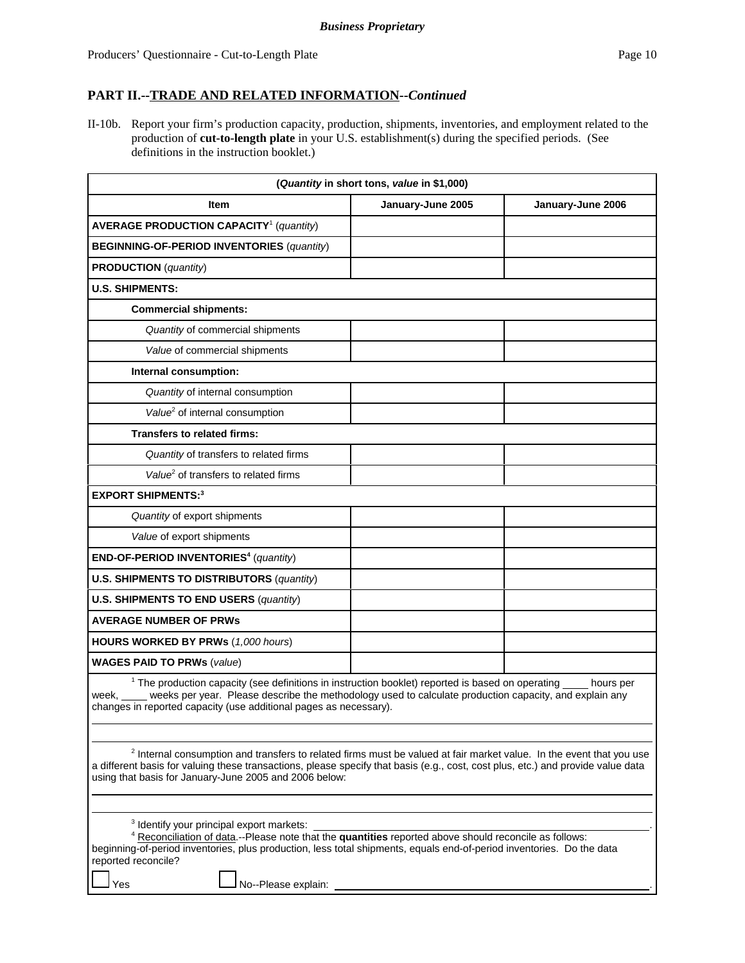II-10b. Report your firm's production capacity, production, shipments, inventories, and employment related to the production of **cut-to-length plate** in your U.S. establishment(s) during the specified periods. (See definitions in the instruction booklet.)

|                                                                                                                                                                                                                                                                                                                                                                                       | (Quantity in short tons, value in \$1,000) |                   |
|---------------------------------------------------------------------------------------------------------------------------------------------------------------------------------------------------------------------------------------------------------------------------------------------------------------------------------------------------------------------------------------|--------------------------------------------|-------------------|
| Item                                                                                                                                                                                                                                                                                                                                                                                  | January-June 2005                          | January-June 2006 |
| <b>AVERAGE PRODUCTION CAPACITY<sup>1</sup></b> (quantity)                                                                                                                                                                                                                                                                                                                             |                                            |                   |
| <b>BEGINNING-OF-PERIOD INVENTORIES (quantity)</b>                                                                                                                                                                                                                                                                                                                                     |                                            |                   |
| <b>PRODUCTION</b> (quantity)                                                                                                                                                                                                                                                                                                                                                          |                                            |                   |
| <b>U.S. SHIPMENTS:</b>                                                                                                                                                                                                                                                                                                                                                                |                                            |                   |
| <b>Commercial shipments:</b>                                                                                                                                                                                                                                                                                                                                                          |                                            |                   |
| Quantity of commercial shipments                                                                                                                                                                                                                                                                                                                                                      |                                            |                   |
| Value of commercial shipments                                                                                                                                                                                                                                                                                                                                                         |                                            |                   |
| Internal consumption:                                                                                                                                                                                                                                                                                                                                                                 |                                            |                   |
| Quantity of internal consumption                                                                                                                                                                                                                                                                                                                                                      |                                            |                   |
| Value <sup>2</sup> of internal consumption                                                                                                                                                                                                                                                                                                                                            |                                            |                   |
| <b>Transfers to related firms:</b>                                                                                                                                                                                                                                                                                                                                                    |                                            |                   |
| Quantity of transfers to related firms                                                                                                                                                                                                                                                                                                                                                |                                            |                   |
| Value <sup>2</sup> of transfers to related firms                                                                                                                                                                                                                                                                                                                                      |                                            |                   |
| <b>EXPORT SHIPMENTS:3</b>                                                                                                                                                                                                                                                                                                                                                             |                                            |                   |
| Quantity of export shipments                                                                                                                                                                                                                                                                                                                                                          |                                            |                   |
| Value of export shipments                                                                                                                                                                                                                                                                                                                                                             |                                            |                   |
| END-OF-PERIOD INVENTORIES <sup>4</sup> (quantity)                                                                                                                                                                                                                                                                                                                                     |                                            |                   |
| <b>U.S. SHIPMENTS TO DISTRIBUTORS (quantity)</b>                                                                                                                                                                                                                                                                                                                                      |                                            |                   |
| <b>U.S. SHIPMENTS TO END USERS (quantity)</b>                                                                                                                                                                                                                                                                                                                                         |                                            |                   |
| <b>AVERAGE NUMBER OF PRWS</b>                                                                                                                                                                                                                                                                                                                                                         |                                            |                   |
| <b>HOURS WORKED BY PRWs (1,000 hours)</b>                                                                                                                                                                                                                                                                                                                                             |                                            |                   |
| <b>WAGES PAID TO PRWs (value)</b>                                                                                                                                                                                                                                                                                                                                                     |                                            |                   |
| <sup>1</sup> The production capacity (see definitions in instruction booklet) reported is based on operating hours per<br>week, weeks per year. Please describe the methodology used to calculate production capacity, and explain any<br>changes in reported capacity (use additional pages as necessary).                                                                           |                                            |                   |
| <sup>2</sup> Internal consumption and transfers to related firms must be valued at fair market value. In the event that you use<br>a different basis for valuing these transactions, please specify that basis (e.g., cost, cost plus, etc.) and provide value data<br>using that basis for January-June 2005 and 2006 below:<br><sup>3</sup> Identify your principal export markets: |                                            |                   |
| <sup>4</sup> Reconciliation of data.--Please note that the quantities reported above should reconcile as follows:<br>beginning-of-period inventories, plus production, less total shipments, equals end-of-period inventories. Do the data<br>reported reconcile?<br>No--Please explain:<br>Yes                                                                                       |                                            |                   |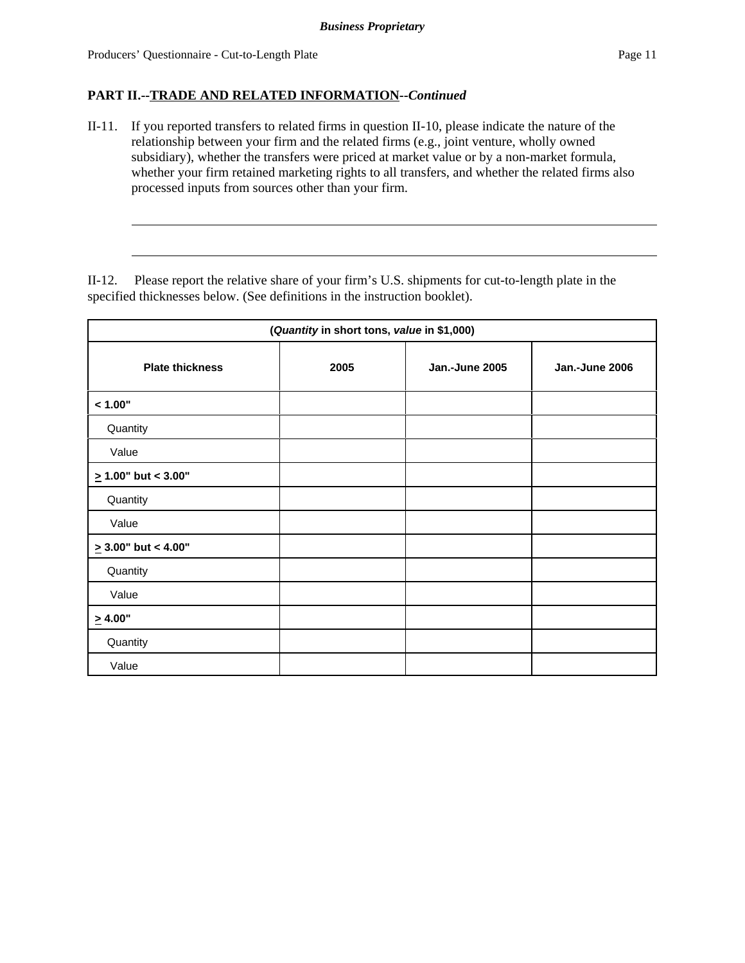II-11. If you reported transfers to related firms in question II-10, please indicate the nature of the relationship between your firm and the related firms (e.g., joint venture, wholly owned subsidiary), whether the transfers were priced at market value or by a non-market formula, whether your firm retained marketing rights to all transfers, and whether the related firms also processed inputs from sources other than your firm.

II-12. Please report the relative share of your firm's U.S. shipments for cut-to-length plate in the specified thicknesses below. (See definitions in the instruction booklet).

| (Quantity in short tons, value in \$1,000) |      |                |                |  |  |
|--------------------------------------------|------|----------------|----------------|--|--|
| <b>Plate thickness</b>                     | 2005 | Jan.-June 2005 | Jan.-June 2006 |  |  |
| < 1.00"                                    |      |                |                |  |  |
| Quantity                                   |      |                |                |  |  |
| Value                                      |      |                |                |  |  |
| $\geq 1.00$ " but < 3.00"                  |      |                |                |  |  |
| Quantity                                   |      |                |                |  |  |
| Value                                      |      |                |                |  |  |
| $\geq$ 3.00" but < 4.00"                   |      |                |                |  |  |
| Quantity                                   |      |                |                |  |  |
| Value                                      |      |                |                |  |  |
| $\geq 4.00"$                               |      |                |                |  |  |
| Quantity                                   |      |                |                |  |  |
| Value                                      |      |                |                |  |  |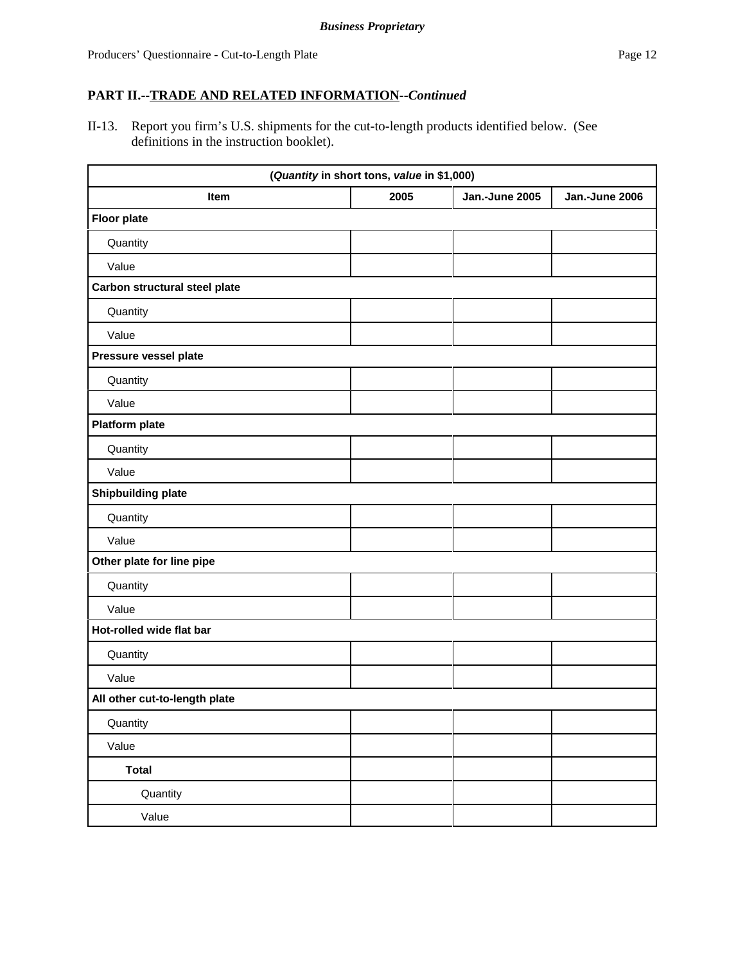II-13. Report you firm's U.S. shipments for the cut-to-length products identified below. (See definitions in the instruction booklet).

|                               | (Quantity in short tons, value in \$1,000) |                |                |
|-------------------------------|--------------------------------------------|----------------|----------------|
| Item                          | 2005                                       | Jan.-June 2005 | Jan.-June 2006 |
| <b>Floor plate</b>            |                                            |                |                |
| Quantity                      |                                            |                |                |
| Value                         |                                            |                |                |
| Carbon structural steel plate |                                            |                |                |
| Quantity                      |                                            |                |                |
| Value                         |                                            |                |                |
| Pressure vessel plate         |                                            |                |                |
| Quantity                      |                                            |                |                |
| Value                         |                                            |                |                |
| <b>Platform plate</b>         |                                            |                |                |
| Quantity                      |                                            |                |                |
| Value                         |                                            |                |                |
| <b>Shipbuilding plate</b>     |                                            |                |                |
| Quantity                      |                                            |                |                |
| Value                         |                                            |                |                |
| Other plate for line pipe     |                                            |                |                |
| Quantity                      |                                            |                |                |
| Value                         |                                            |                |                |
| Hot-rolled wide flat bar      |                                            |                |                |
| Quantity                      |                                            |                |                |
| Value                         |                                            |                |                |
| All other cut-to-length plate |                                            |                |                |
| Quantity                      |                                            |                |                |
| Value                         |                                            |                |                |
| <b>Total</b>                  |                                            |                |                |
| Quantity                      |                                            |                |                |
| Value                         |                                            |                |                |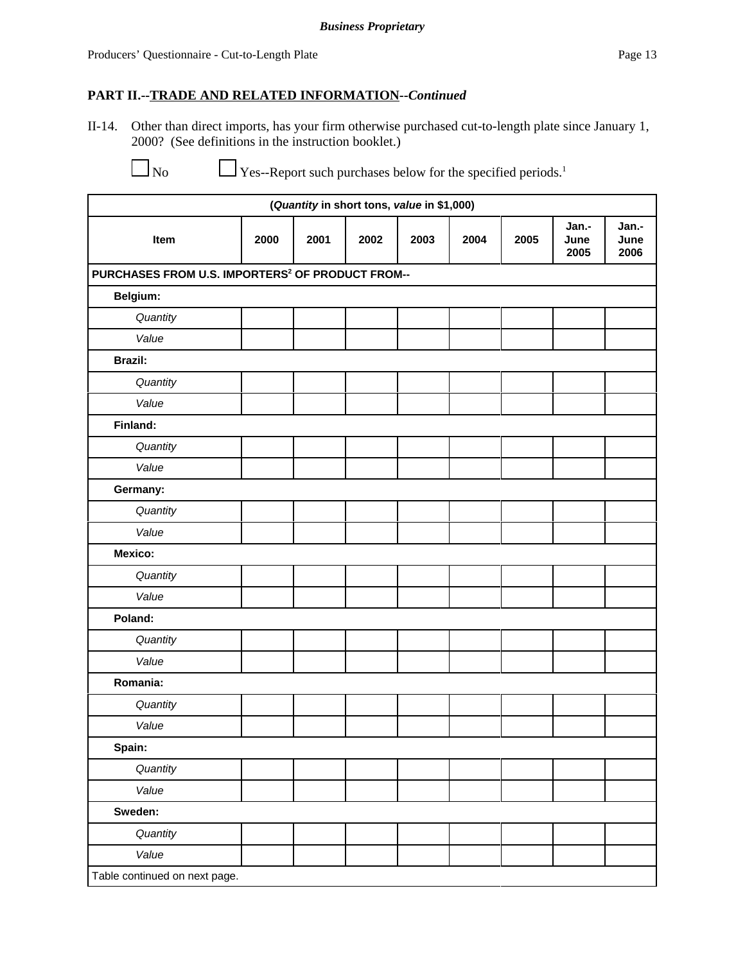II-14. Other than direct imports, has your firm otherwise purchased cut-to-length plate since January 1, 2000? (See definitions in the instruction booklet.)

 $\overline{\phantom{0}}$ 

 $\Box$  Yes--Report such purchases below for the specified periods.<sup>1</sup>

| (Quantity in short tons, value in \$1,000)                   |      |      |      |      |      |      |                       |                       |  |
|--------------------------------------------------------------|------|------|------|------|------|------|-----------------------|-----------------------|--|
| Item                                                         | 2000 | 2001 | 2002 | 2003 | 2004 | 2005 | Jan.-<br>June<br>2005 | Jan.-<br>June<br>2006 |  |
| PURCHASES FROM U.S. IMPORTERS <sup>2</sup> OF PRODUCT FROM-- |      |      |      |      |      |      |                       |                       |  |
| Belgium:                                                     |      |      |      |      |      |      |                       |                       |  |
| Quantity                                                     |      |      |      |      |      |      |                       |                       |  |
| Value                                                        |      |      |      |      |      |      |                       |                       |  |
| <b>Brazil:</b>                                               |      |      |      |      |      |      |                       |                       |  |
| Quantity                                                     |      |      |      |      |      |      |                       |                       |  |
| Value                                                        |      |      |      |      |      |      |                       |                       |  |
| Finland:                                                     |      |      |      |      |      |      |                       |                       |  |
| Quantity                                                     |      |      |      |      |      |      |                       |                       |  |
| Value                                                        |      |      |      |      |      |      |                       |                       |  |
| Germany:                                                     |      |      |      |      |      |      |                       |                       |  |
| Quantity                                                     |      |      |      |      |      |      |                       |                       |  |
| Value                                                        |      |      |      |      |      |      |                       |                       |  |
| Mexico:                                                      |      |      |      |      |      |      |                       |                       |  |
| Quantity                                                     |      |      |      |      |      |      |                       |                       |  |
| Value                                                        |      |      |      |      |      |      |                       |                       |  |
| Poland:                                                      |      |      |      |      |      |      |                       |                       |  |
| Quantity                                                     |      |      |      |      |      |      |                       |                       |  |
| Value                                                        |      |      |      |      |      |      |                       |                       |  |
| Romania:                                                     |      |      |      |      |      |      |                       |                       |  |
| Quantity                                                     |      |      |      |      |      |      |                       |                       |  |
| Value                                                        |      |      |      |      |      |      |                       |                       |  |
| Spain:                                                       |      |      |      |      |      |      |                       |                       |  |
| Quantity                                                     |      |      |      |      |      |      |                       |                       |  |
| Value                                                        |      |      |      |      |      |      |                       |                       |  |
| Sweden:                                                      |      |      |      |      |      |      |                       |                       |  |
| Quantity                                                     |      |      |      |      |      |      |                       |                       |  |
| Value                                                        |      |      |      |      |      |      |                       |                       |  |
| Table continued on next page.                                |      |      |      |      |      |      |                       |                       |  |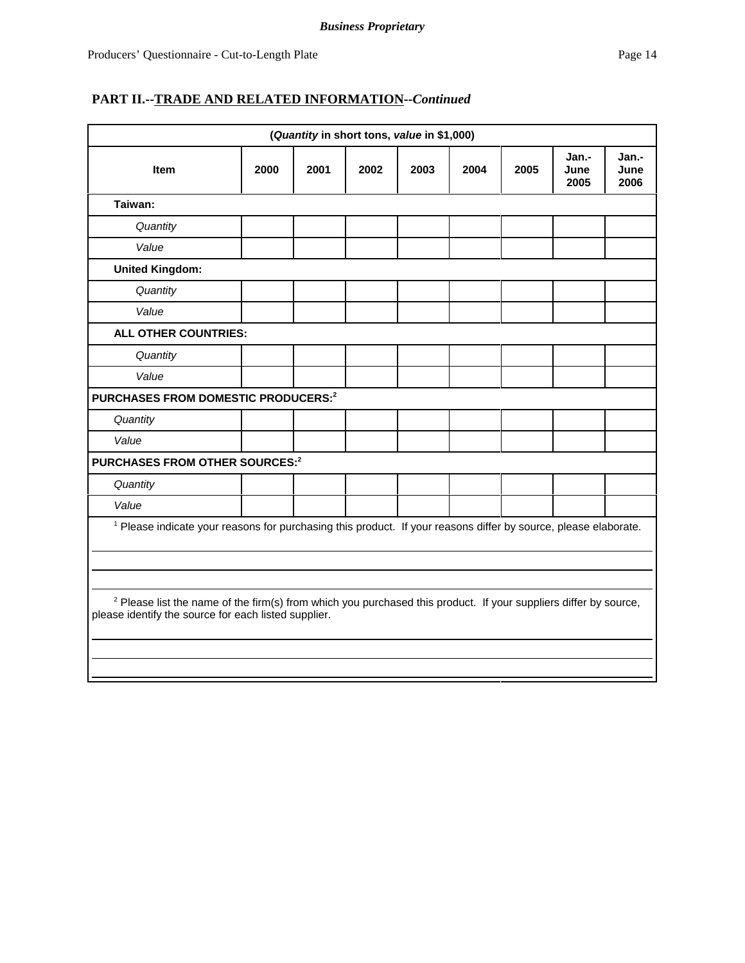| (Quantity in short tons, value in \$1,000)                                                                                                                                          |      |      |      |      |      |      |                       |                       |
|-------------------------------------------------------------------------------------------------------------------------------------------------------------------------------------|------|------|------|------|------|------|-----------------------|-----------------------|
| <b>Item</b>                                                                                                                                                                         | 2000 | 2001 | 2002 | 2003 | 2004 | 2005 | Jan.-<br>June<br>2005 | Jan.-<br>June<br>2006 |
| Taiwan:                                                                                                                                                                             |      |      |      |      |      |      |                       |                       |
| Quantity                                                                                                                                                                            |      |      |      |      |      |      |                       |                       |
| Value                                                                                                                                                                               |      |      |      |      |      |      |                       |                       |
| <b>United Kingdom:</b>                                                                                                                                                              |      |      |      |      |      |      |                       |                       |
| Quantity                                                                                                                                                                            |      |      |      |      |      |      |                       |                       |
| Value                                                                                                                                                                               |      |      |      |      |      |      |                       |                       |
| ALL OTHER COUNTRIES:                                                                                                                                                                |      |      |      |      |      |      |                       |                       |
| Quantity                                                                                                                                                                            |      |      |      |      |      |      |                       |                       |
| Value                                                                                                                                                                               |      |      |      |      |      |      |                       |                       |
| PURCHASES FROM DOMESTIC PRODUCERS: <sup>2</sup>                                                                                                                                     |      |      |      |      |      |      |                       |                       |
| Quantity                                                                                                                                                                            |      |      |      |      |      |      |                       |                       |
| Value                                                                                                                                                                               |      |      |      |      |      |      |                       |                       |
| PURCHASES FROM OTHER SOURCES: <sup>2</sup>                                                                                                                                          |      |      |      |      |      |      |                       |                       |
| Quantity                                                                                                                                                                            |      |      |      |      |      |      |                       |                       |
| Value                                                                                                                                                                               |      |      |      |      |      |      |                       |                       |
| <sup>1</sup> Please indicate your reasons for purchasing this product. If your reasons differ by source, please elaborate.                                                          |      |      |      |      |      |      |                       |                       |
|                                                                                                                                                                                     |      |      |      |      |      |      |                       |                       |
|                                                                                                                                                                                     |      |      |      |      |      |      |                       |                       |
| <sup>2</sup> Please list the name of the firm(s) from which you purchased this product. If your suppliers differ by source,<br>please identify the source for each listed supplier. |      |      |      |      |      |      |                       |                       |
|                                                                                                                                                                                     |      |      |      |      |      |      |                       |                       |
|                                                                                                                                                                                     |      |      |      |      |      |      |                       |                       |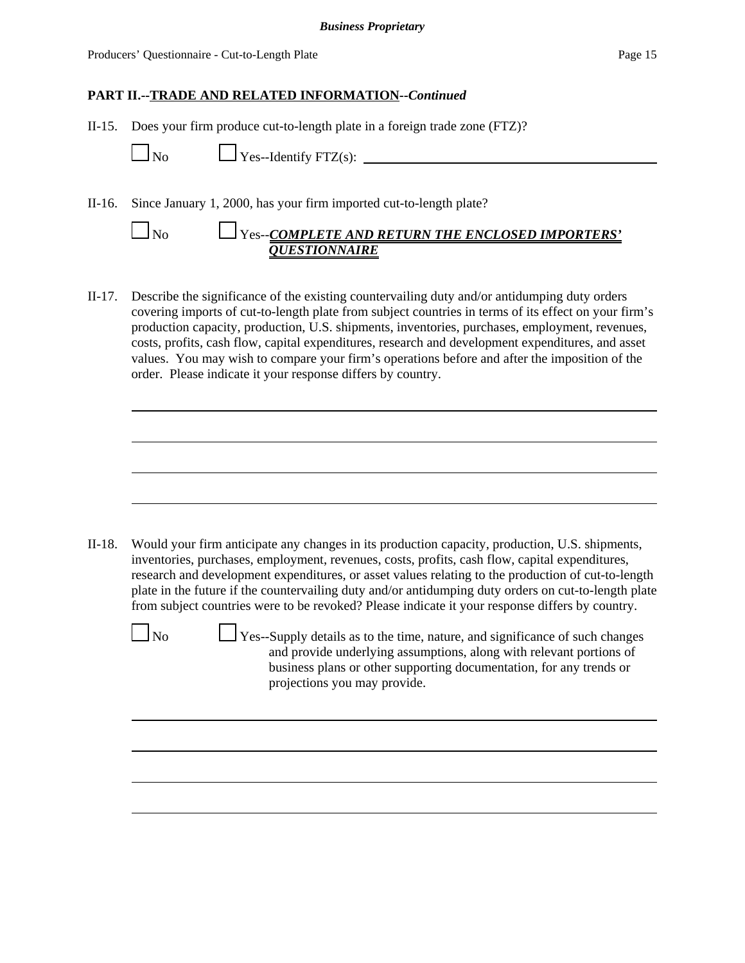II-15. Does your firm produce cut-to-length plate in a foreign trade zone (FTZ)?

 $\Box$  No  $\Box$  Yes--Identify FTZ(s):  $\Box$ 

II-16. Since January 1, 2000, has your firm imported cut-to-length plate?

| $\mathsf{\Delta}{}$ No | $\Box$ Yes--COMPLETE AND RETURN THE ENCLOSED IMPORTERS' |
|------------------------|---------------------------------------------------------|
|                        | <b><i>OUESTIONNAIRE</i></b>                             |

II-17. Describe the significance of the existing countervailing duty and/or antidumping duty orders covering imports of cut-to-length plate from subject countries in terms of its effect on your firm's production capacity, production, U.S. shipments, inventories, purchases, employment, revenues, costs, profits, cash flow, capital expenditures, research and development expenditures, and asset values. You may wish to compare your firm's operations before and after the imposition of the order. Please indicate it your response differs by country.

II-18. Would your firm anticipate any changes in its production capacity, production, U.S. shipments, inventories, purchases, employment, revenues, costs, profits, cash flow, capital expenditures, research and development expenditures, or asset values relating to the production of cut-to-length plate in the future if the countervailing duty and/or antidumping duty orders on cut-to-length plate from subject countries were to be revoked? Please indicate it your response differs by country.

 $\Box$  No  $\Box$  Yes--Supply details as to the time, nature, and significance of such changes and provide underlying assumptions, along with relevant portions of business plans or other supporting documentation, for any trends or projections you may provide.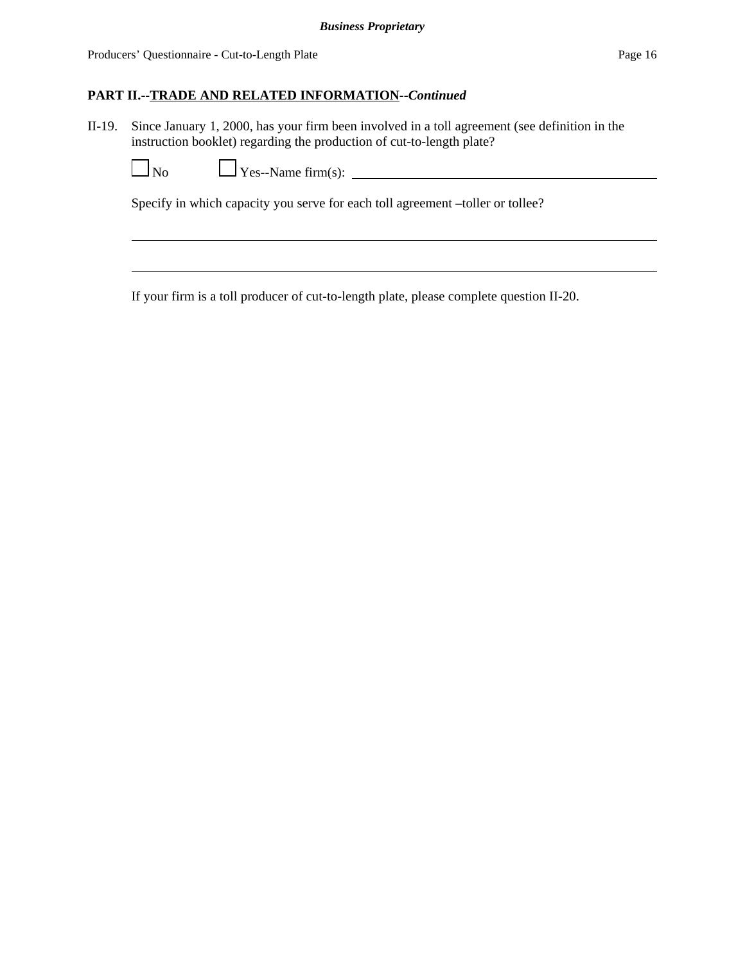II-19. Since January 1, 2000, has your firm been involved in a toll agreement (see definition in the instruction booklet) regarding the production of cut-to-length plate?

No Yes--Name firm(s):

Specify in which capacity you serve for each toll agreement –toller or tollee?

If your firm is a toll producer of cut-to-length plate, please complete question II-20.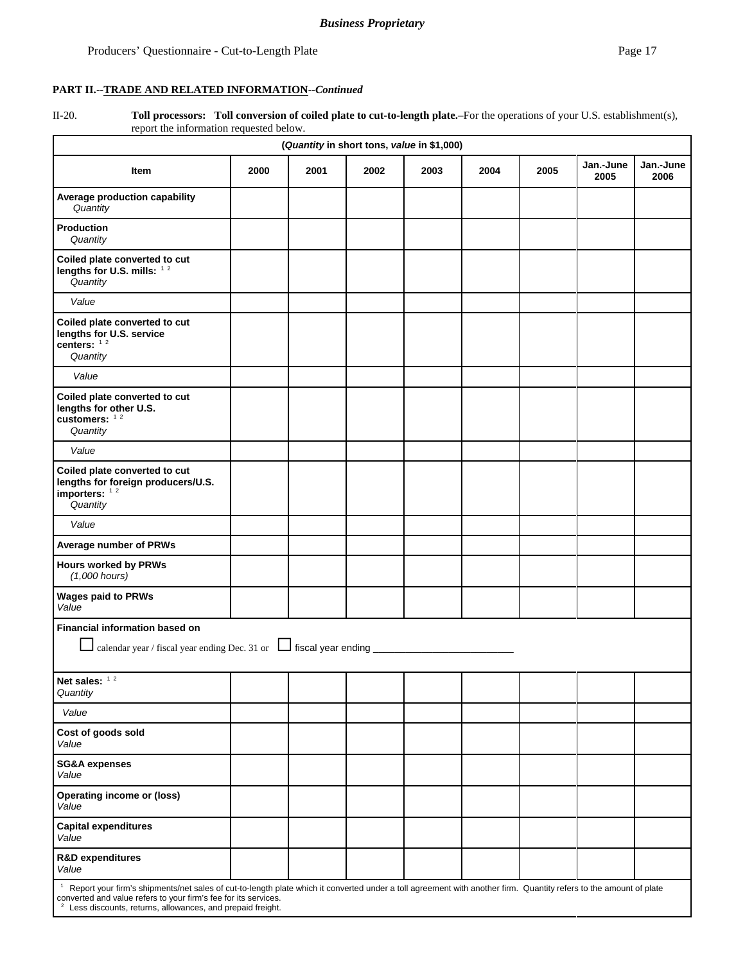II-20. **Toll processors: Toll conversion of coiled plate to cut-to-length plate.**–For the operations of your U.S. establishment(s), report the information requested below.

| (Quantity in short tons, value in \$1,000)                                                                                                                                                                                                                                                                        |      |      |      |      |      |      |                   |                   |
|-------------------------------------------------------------------------------------------------------------------------------------------------------------------------------------------------------------------------------------------------------------------------------------------------------------------|------|------|------|------|------|------|-------------------|-------------------|
| Item                                                                                                                                                                                                                                                                                                              | 2000 | 2001 | 2002 | 2003 | 2004 | 2005 | Jan.-June<br>2005 | Jan.-June<br>2006 |
| Average production capability<br>Quantity                                                                                                                                                                                                                                                                         |      |      |      |      |      |      |                   |                   |
| <b>Production</b><br>Quantity                                                                                                                                                                                                                                                                                     |      |      |      |      |      |      |                   |                   |
| Coiled plate converted to cut<br>lengths for U.S. mills: 12<br>Quantity                                                                                                                                                                                                                                           |      |      |      |      |      |      |                   |                   |
| Value                                                                                                                                                                                                                                                                                                             |      |      |      |      |      |      |                   |                   |
| Coiled plate converted to cut<br>lengths for U.S. service<br>centers: $12$<br>Quantity                                                                                                                                                                                                                            |      |      |      |      |      |      |                   |                   |
| Value                                                                                                                                                                                                                                                                                                             |      |      |      |      |      |      |                   |                   |
| Coiled plate converted to cut<br>lengths for other U.S.<br>customers: $12$<br>Quantity                                                                                                                                                                                                                            |      |      |      |      |      |      |                   |                   |
| Value                                                                                                                                                                                                                                                                                                             |      |      |      |      |      |      |                   |                   |
| Coiled plate converted to cut<br>lengths for foreign producers/U.S.<br>importers: $12$<br>Quantity                                                                                                                                                                                                                |      |      |      |      |      |      |                   |                   |
| Value                                                                                                                                                                                                                                                                                                             |      |      |      |      |      |      |                   |                   |
| Average number of PRWs                                                                                                                                                                                                                                                                                            |      |      |      |      |      |      |                   |                   |
| <b>Hours worked by PRWs</b><br>$(1,000$ hours)                                                                                                                                                                                                                                                                    |      |      |      |      |      |      |                   |                   |
| <b>Wages paid to PRWs</b><br>Value                                                                                                                                                                                                                                                                                |      |      |      |      |      |      |                   |                   |
| Financial information based on                                                                                                                                                                                                                                                                                    |      |      |      |      |      |      |                   |                   |
| calendar year / fiscal year ending Dec. 31 or $\Box$ fiscal year ending $\Box$                                                                                                                                                                                                                                    |      |      |      |      |      |      |                   |                   |
| Net sales: $12$<br>Quantity                                                                                                                                                                                                                                                                                       |      |      |      |      |      |      |                   |                   |
| Value                                                                                                                                                                                                                                                                                                             |      |      |      |      |      |      |                   |                   |
| Cost of goods sold<br>Value                                                                                                                                                                                                                                                                                       |      |      |      |      |      |      |                   |                   |
| <b>SG&amp;A expenses</b><br>Value                                                                                                                                                                                                                                                                                 |      |      |      |      |      |      |                   |                   |
| <b>Operating income or (loss)</b><br>Value                                                                                                                                                                                                                                                                        |      |      |      |      |      |      |                   |                   |
| <b>Capital expenditures</b><br>Value                                                                                                                                                                                                                                                                              |      |      |      |      |      |      |                   |                   |
| <b>R&amp;D expenditures</b><br>Value                                                                                                                                                                                                                                                                              |      |      |      |      |      |      |                   |                   |
| $\mathbf{1}$<br>Report your firm's shipments/net sales of cut-to-length plate which it converted under a toll agreement with another firm. Quantity refers to the amount of plate<br>converted and value refers to your firm's fee for its services.<br>Less discounts, returns, allowances, and prepaid freight. |      |      |      |      |      |      |                   |                   |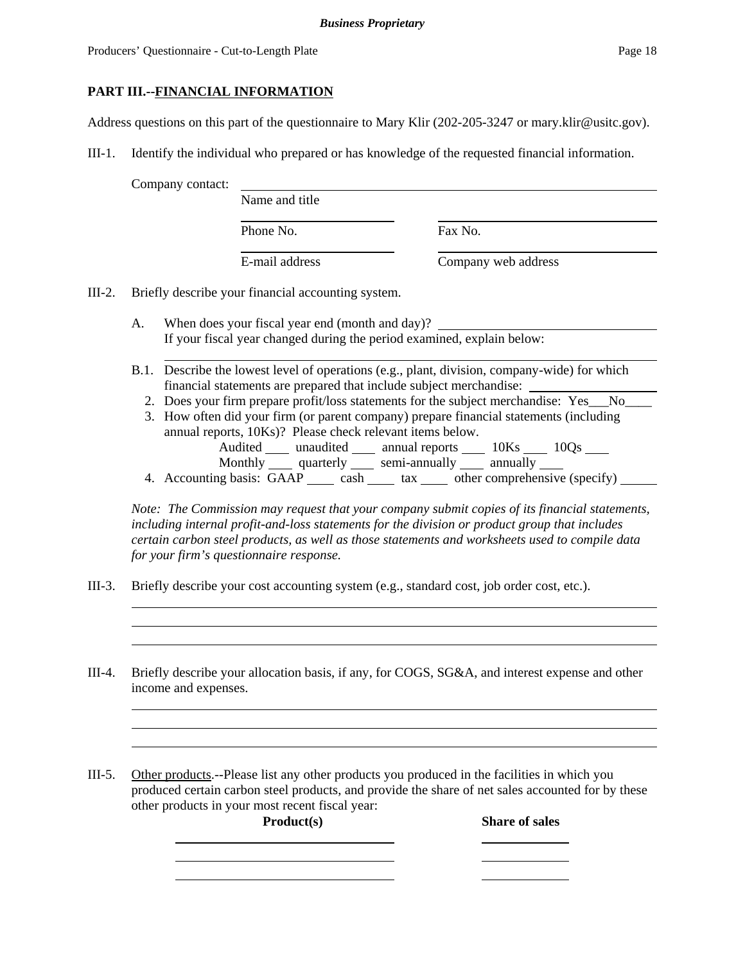Producers' Ouestionnaire - Cut-to-Length Plate Page 18

## **PART III.--FINANCIAL INFORMATION**

Address questions on this part of the questionnaire to Mary Klir (202-205-3247 or mary.klir@usitc.gov).

III-1. Identify the individual who prepared or has knowledge of the requested financial information.

Company contact:

Phone No. **Fax No.** 

Name and title

E-mail address Company web address

III-2. Briefly describe your financial accounting system.

A. When does your fiscal year end (month and day)? If your fiscal year changed during the period examined, explain below:

- B.1. Describe the lowest level of operations (e.g., plant, division, company-wide) for which financial statements are prepared that include subject merchandise:
	- 2. Does your firm prepare profit/loss statements for the subject merchandise: Yes No
	- 3. How often did your firm (or parent company) prepare financial statements (including annual reports, 10Ks)? Please check relevant items below.

Audited \_\_\_\_\_ unaudited \_\_\_\_\_ annual reports \_\_\_\_\_\_ 10Ks \_\_\_\_\_ 10Qs \_\_\_\_\_ Monthly quarterly semi-annually annually

4. Accounting basis:  $\overline{GAP}$  cash tax tax other comprehensive (specify) \_\_\_\_\_\_

*Note: The Commission may request that your company submit copies of its financial statements, including internal profit-and-loss statements for the division or product group that includes certain carbon steel products, as well as those statements and worksheets used to compile data for your firm's questionnaire response.*

- III-3. Briefly describe your cost accounting system (e.g., standard cost, job order cost, etc.).
- III-4. Briefly describe your allocation basis, if any, for COGS, SG&A, and interest expense and other income and expenses.

III-5. Other products.--Please list any other products you produced in the facilities in which you produced certain carbon steel products, and provide the share of net sales accounted for by these other products in your most recent fiscal year:

Product(s) Share of sales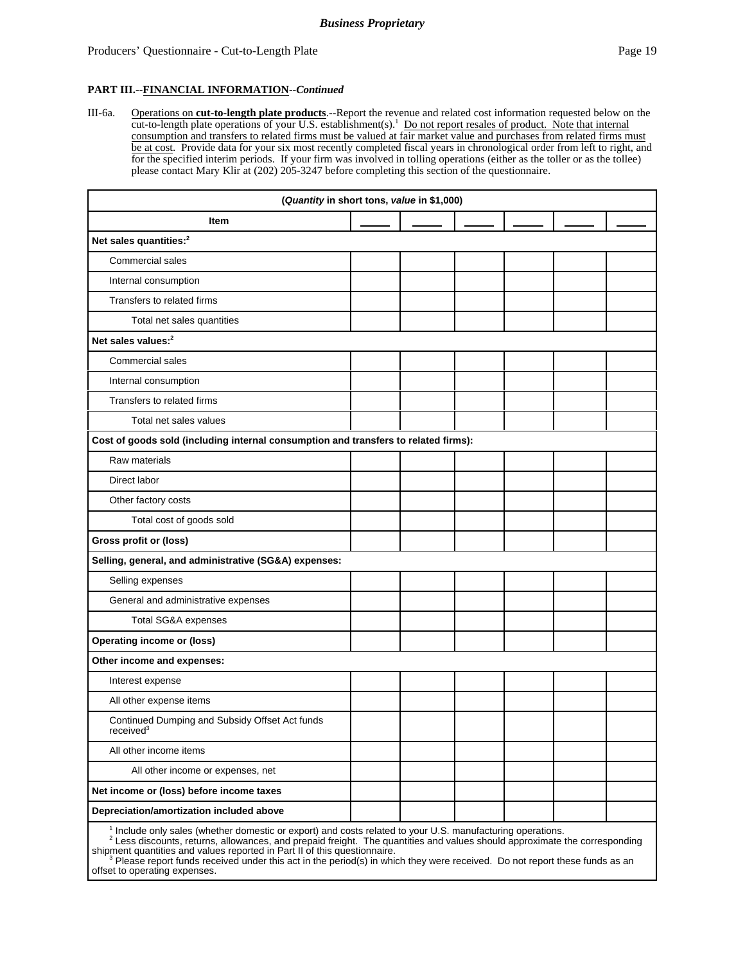III-6a. Operations on **cut-to-length plate products**.--Report the revenue and related cost information requested below on the cut-to-length plate operations of your U.S. establishment(s).<sup>1</sup> Do not report resales of product. Note that internal consumption and transfers to related firms must be valued at fair market value and purchases from related firms must be at cost. Provide data for your six most recently completed fiscal years in chronological order from left to right, and for the specified interim periods. If your firm was involved in tolling operations (either as the toller or as the tollee) please contact Mary Klir at (202) 205-3247 before completing this section of the questionnaire.

| (Quantity in short tons, value in \$1,000)                                                                  |  |  |  |  |  |  |
|-------------------------------------------------------------------------------------------------------------|--|--|--|--|--|--|
| Item                                                                                                        |  |  |  |  |  |  |
| Net sales quantities: <sup>2</sup>                                                                          |  |  |  |  |  |  |
| Commercial sales                                                                                            |  |  |  |  |  |  |
| Internal consumption                                                                                        |  |  |  |  |  |  |
| Transfers to related firms                                                                                  |  |  |  |  |  |  |
| Total net sales quantities                                                                                  |  |  |  |  |  |  |
| Net sales values: <sup>2</sup>                                                                              |  |  |  |  |  |  |
| <b>Commercial sales</b>                                                                                     |  |  |  |  |  |  |
| Internal consumption                                                                                        |  |  |  |  |  |  |
| Transfers to related firms                                                                                  |  |  |  |  |  |  |
| Total net sales values                                                                                      |  |  |  |  |  |  |
| Cost of goods sold (including internal consumption and transfers to related firms):                         |  |  |  |  |  |  |
| Raw materials                                                                                               |  |  |  |  |  |  |
| Direct labor                                                                                                |  |  |  |  |  |  |
| Other factory costs                                                                                         |  |  |  |  |  |  |
| Total cost of goods sold                                                                                    |  |  |  |  |  |  |
| Gross profit or (loss)                                                                                      |  |  |  |  |  |  |
| Selling, general, and administrative (SG&A) expenses:                                                       |  |  |  |  |  |  |
| Selling expenses                                                                                            |  |  |  |  |  |  |
| General and administrative expenses                                                                         |  |  |  |  |  |  |
| Total SG&A expenses                                                                                         |  |  |  |  |  |  |
| <b>Operating income or (loss)</b>                                                                           |  |  |  |  |  |  |
| Other income and expenses:                                                                                  |  |  |  |  |  |  |
| Interest expense                                                                                            |  |  |  |  |  |  |
| All other expense items                                                                                     |  |  |  |  |  |  |
| Continued Dumping and Subsidy Offset Act funds<br>received <sup>3</sup>                                     |  |  |  |  |  |  |
| All other income items                                                                                      |  |  |  |  |  |  |
| All other income or expenses, net                                                                           |  |  |  |  |  |  |
| Net income or (loss) before income taxes                                                                    |  |  |  |  |  |  |
| Depreciation/amortization included above                                                                    |  |  |  |  |  |  |
| $1$ Include only sales (whether domestic or export) and costs related to your LLS, manufacturing operations |  |  |  |  |  |  |

<sup>1</sup> Include only sales (whether domestic or export) and costs related to your U.S. manufacturing operations.<br><sup>2</sup> Less discounts, returns, allowances, and prepaid freight. The quantities and values should approximate the co

shipment quantities and values reported in Part II of this questionnaire.<br><sup>3</sup> Please report funds received under this act in the period(s) in which they were received. Do not report these funds as an

offset to operating expenses.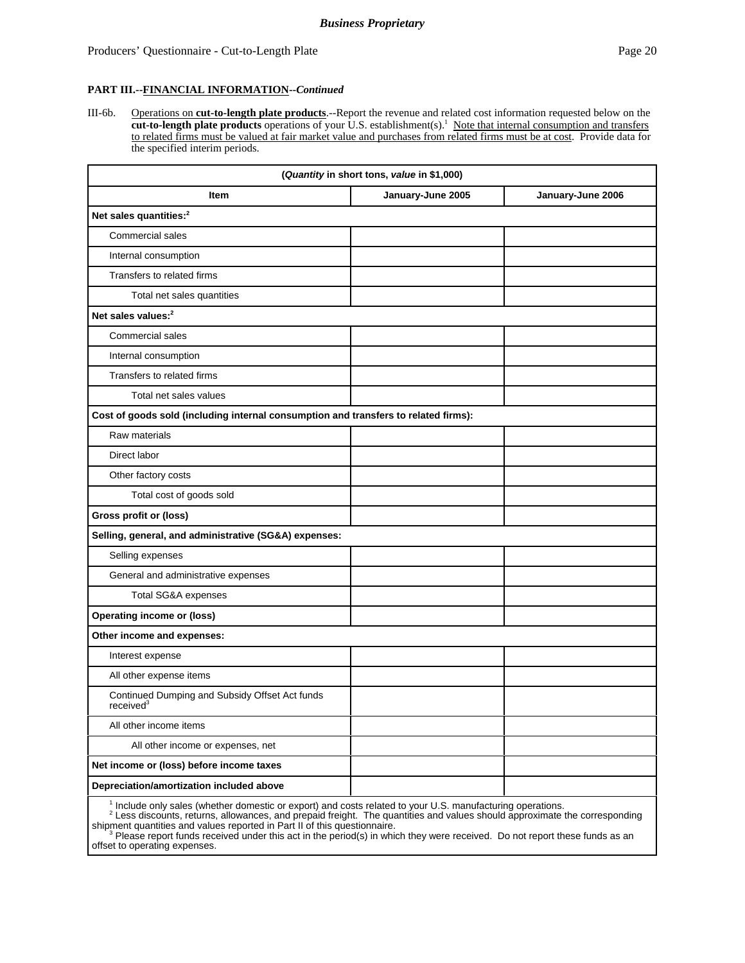III-6b. Operations on **cut-to-length plate products**.--Report the revenue and related cost information requested below on the **cut-to-length plate products** operations of your U.S. establishment(s).1 Note that internal consumption and transfers to related firms must be valued at fair market value and purchases from related firms must be at cost. Provide data for the specified interim periods.

| (Quantity in short tons, value in \$1,000)                                          |                   |                   |  |  |  |  |
|-------------------------------------------------------------------------------------|-------------------|-------------------|--|--|--|--|
| Item                                                                                | January-June 2005 | January-June 2006 |  |  |  |  |
| Net sales quantities: <sup>2</sup>                                                  |                   |                   |  |  |  |  |
| <b>Commercial sales</b>                                                             |                   |                   |  |  |  |  |
| Internal consumption                                                                |                   |                   |  |  |  |  |
| Transfers to related firms                                                          |                   |                   |  |  |  |  |
| Total net sales quantities                                                          |                   |                   |  |  |  |  |
| Net sales values: <sup>2</sup>                                                      |                   |                   |  |  |  |  |
| <b>Commercial sales</b>                                                             |                   |                   |  |  |  |  |
| Internal consumption                                                                |                   |                   |  |  |  |  |
| Transfers to related firms                                                          |                   |                   |  |  |  |  |
| Total net sales values                                                              |                   |                   |  |  |  |  |
| Cost of goods sold (including internal consumption and transfers to related firms): |                   |                   |  |  |  |  |
| Raw materials                                                                       |                   |                   |  |  |  |  |
| Direct labor                                                                        |                   |                   |  |  |  |  |
| Other factory costs                                                                 |                   |                   |  |  |  |  |
| Total cost of goods sold                                                            |                   |                   |  |  |  |  |
| Gross profit or (loss)                                                              |                   |                   |  |  |  |  |
| Selling, general, and administrative (SG&A) expenses:                               |                   |                   |  |  |  |  |
| Selling expenses                                                                    |                   |                   |  |  |  |  |
| General and administrative expenses                                                 |                   |                   |  |  |  |  |
| Total SG&A expenses                                                                 |                   |                   |  |  |  |  |
| <b>Operating income or (loss)</b>                                                   |                   |                   |  |  |  |  |
| Other income and expenses:                                                          |                   |                   |  |  |  |  |
| Interest expense                                                                    |                   |                   |  |  |  |  |
| All other expense items                                                             |                   |                   |  |  |  |  |
| Continued Dumping and Subsidy Offset Act funds<br>received <sup>3</sup>             |                   |                   |  |  |  |  |
| All other income items                                                              |                   |                   |  |  |  |  |
| All other income or expenses, net                                                   |                   |                   |  |  |  |  |
| Net income or (loss) before income taxes                                            |                   |                   |  |  |  |  |
| Depreciation/amortization included above                                            |                   |                   |  |  |  |  |

<sup>1</sup> Include only sales (whether domestic or export) and costs related to your U.S. manufacturing operations.<br><sup>2</sup> Less discounts, returns, allowances, and prepaid freight. The quantities and values should approximate the co shipment quantities and values reported in Part II of this questionnaire.<br><sup>3</sup> Please report funds received under this act in the period(s) in which they were received. Do not report these funds as an

offset to operating expenses.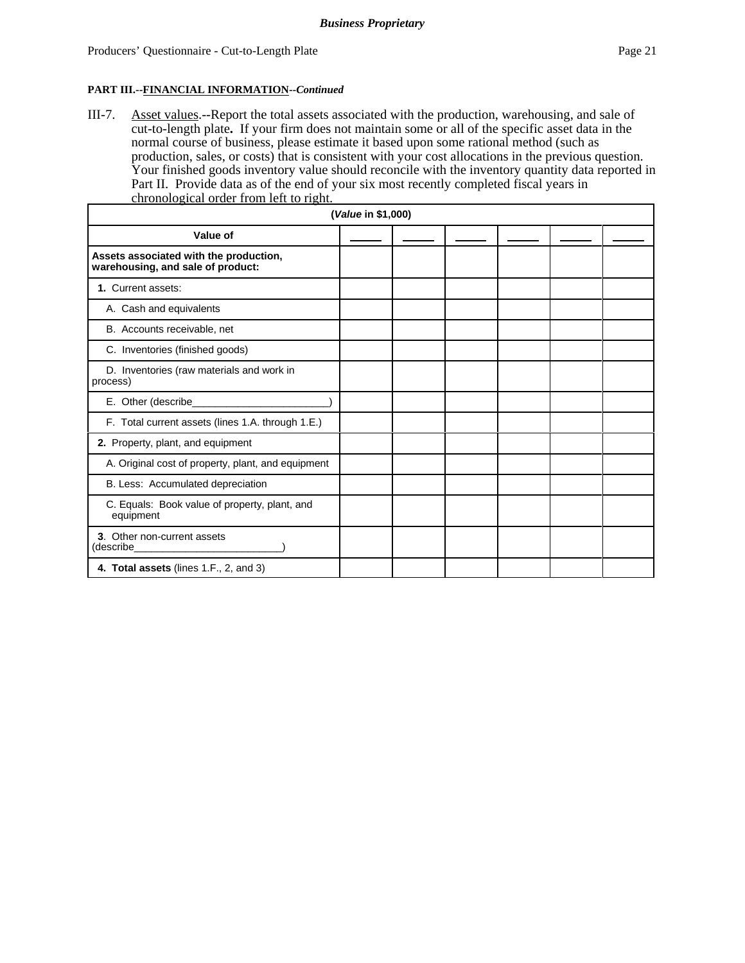III-7. Asset values.--Report the total assets associated with the production, warehousing, and sale of cut-to-length plate**.** If your firm does not maintain some or all of the specific asset data in the normal course of business, please estimate it based upon some rational method (such as production, sales, or costs) that is consistent with your cost allocations in the previous question. Your finished goods inventory value should reconcile with the inventory quantity data reported in Part II. Provide data as of the end of your six most recently completed fiscal years in chronological order from left to right.

| ( <i>Value</i> in \$1,000)                                                  |  |  |  |  |  |  |  |  |  |
|-----------------------------------------------------------------------------|--|--|--|--|--|--|--|--|--|
| Value of                                                                    |  |  |  |  |  |  |  |  |  |
| Assets associated with the production,<br>warehousing, and sale of product: |  |  |  |  |  |  |  |  |  |
| 1. Current assets:                                                          |  |  |  |  |  |  |  |  |  |
| A. Cash and equivalents                                                     |  |  |  |  |  |  |  |  |  |
| B. Accounts receivable, net                                                 |  |  |  |  |  |  |  |  |  |
| C. Inventories (finished goods)                                             |  |  |  |  |  |  |  |  |  |
| D. Inventories (raw materials and work in<br>process)                       |  |  |  |  |  |  |  |  |  |
| E. Other (describe_                                                         |  |  |  |  |  |  |  |  |  |
| F. Total current assets (lines 1.A. through 1.E.)                           |  |  |  |  |  |  |  |  |  |
| 2. Property, plant, and equipment                                           |  |  |  |  |  |  |  |  |  |
| A. Original cost of property, plant, and equipment                          |  |  |  |  |  |  |  |  |  |
| B. Less: Accumulated depreciation                                           |  |  |  |  |  |  |  |  |  |
| C. Equals: Book value of property, plant, and<br>equipment                  |  |  |  |  |  |  |  |  |  |
| 3. Other non-current assets<br>(describe_                                   |  |  |  |  |  |  |  |  |  |
| 4. Total assets (lines 1.F., 2, and 3)                                      |  |  |  |  |  |  |  |  |  |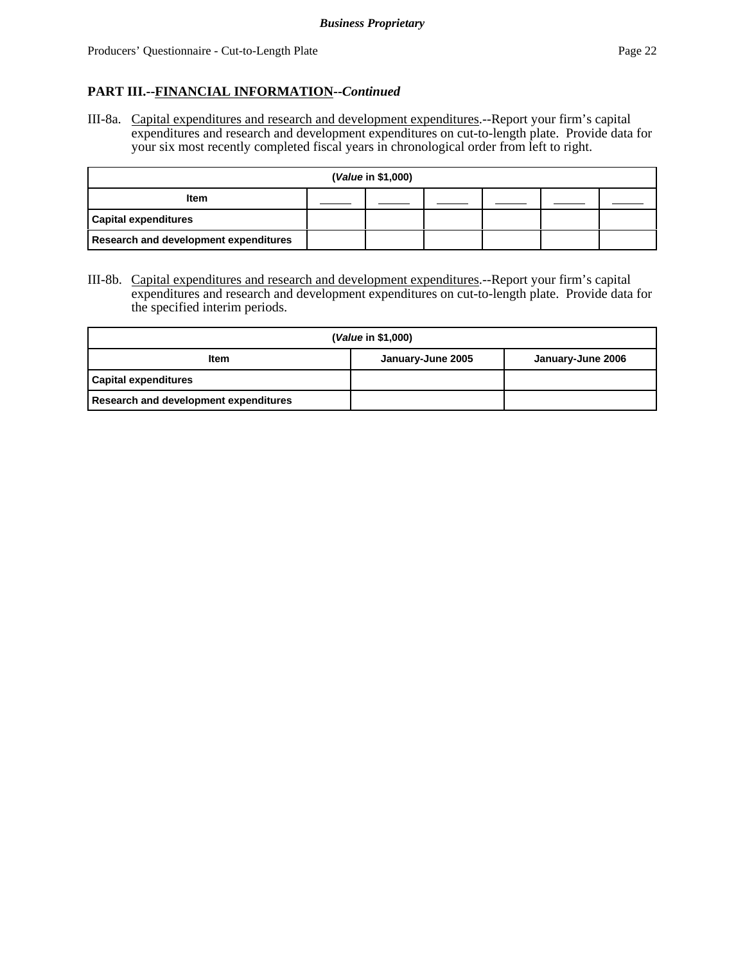III-8a. Capital expenditures and research and development expenditures.--Report your firm's capital expenditures and research and development expenditures on cut-to-length plate. Provide data for your six most recently completed fiscal years in chronological order from left to right.

| (Value in \$1,000)                           |  |  |  |  |  |  |  |  |  |
|----------------------------------------------|--|--|--|--|--|--|--|--|--|
| <b>Item</b>                                  |  |  |  |  |  |  |  |  |  |
| <b>Capital expenditures</b>                  |  |  |  |  |  |  |  |  |  |
| <b>Research and development expenditures</b> |  |  |  |  |  |  |  |  |  |

III-8b. Capital expenditures and research and development expenditures.--Report your firm's capital expenditures and research and development expenditures on cut-to-length plate. Provide data for the specified interim periods.

| ( <i>Value</i> in \$1,000)            |                   |                   |  |  |
|---------------------------------------|-------------------|-------------------|--|--|
| <b>Item</b>                           | January-June 2005 | January-June 2006 |  |  |
| <b>Capital expenditures</b>           |                   |                   |  |  |
| Research and development expenditures |                   |                   |  |  |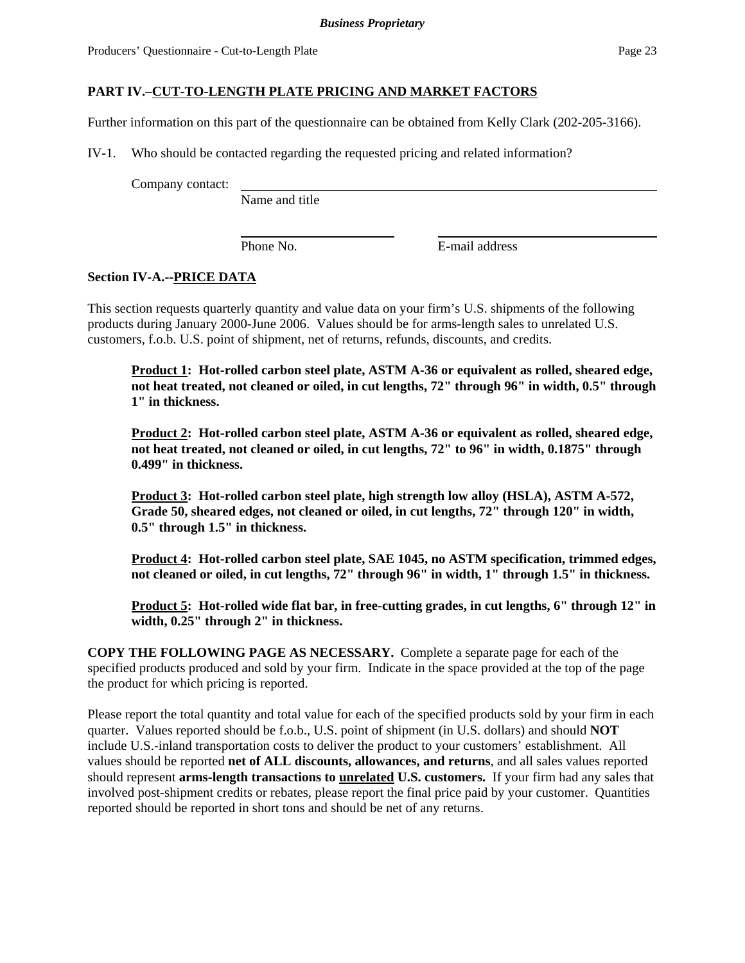Further information on this part of the questionnaire can be obtained from Kelly Clark (202-205-3166).

IV-1. Who should be contacted regarding the requested pricing and related information?

Company contact:

Name and title

Phone No. **E**-mail address

#### **Section IV-A.--PRICE DATA**

This section requests quarterly quantity and value data on your firm's U.S. shipments of the following products during January 2000-June 2006. Values should be for arms-length sales to unrelated U.S. customers, f.o.b. U.S. point of shipment, net of returns, refunds, discounts, and credits.

**Product 1: Hot-rolled carbon steel plate, ASTM A-36 or equivalent as rolled, sheared edge, not heat treated, not cleaned or oiled, in cut lengths, 72" through 96" in width, 0.5" through 1" in thickness.** 

**Product 2: Hot-rolled carbon steel plate, ASTM A-36 or equivalent as rolled, sheared edge, not heat treated, not cleaned or oiled, in cut lengths, 72" to 96" in width, 0.1875" through 0.499" in thickness.** 

**Product 3: Hot-rolled carbon steel plate, high strength low alloy (HSLA), ASTM A-572, Grade 50, sheared edges, not cleaned or oiled, in cut lengths, 72" through 120" in width, 0.5" through 1.5" in thickness.** 

**Product 4: Hot-rolled carbon steel plate, SAE 1045, no ASTM specification, trimmed edges, not cleaned or oiled, in cut lengths, 72" through 96" in width, 1" through 1.5" in thickness.** 

**Product 5: Hot-rolled wide flat bar, in free-cutting grades, in cut lengths, 6" through 12" in width, 0.25" through 2" in thickness.**

**COPY THE FOLLOWING PAGE AS NECESSARY.** Complete a separate page for each of the specified products produced and sold by your firm. Indicate in the space provided at the top of the page the product for which pricing is reported.

Please report the total quantity and total value for each of the specified products sold by your firm in each quarter. Values reported should be f.o.b., U.S. point of shipment (in U.S. dollars) and should **NOT** include U.S.-inland transportation costs to deliver the product to your customers' establishment. All values should be reported **net of ALL discounts, allowances, and returns**, and all sales values reported should represent **arms-length transactions to unrelated U.S. customers.** If your firm had any sales that involved post-shipment credits or rebates, please report the final price paid by your customer. Quantities reported should be reported in short tons and should be net of any returns.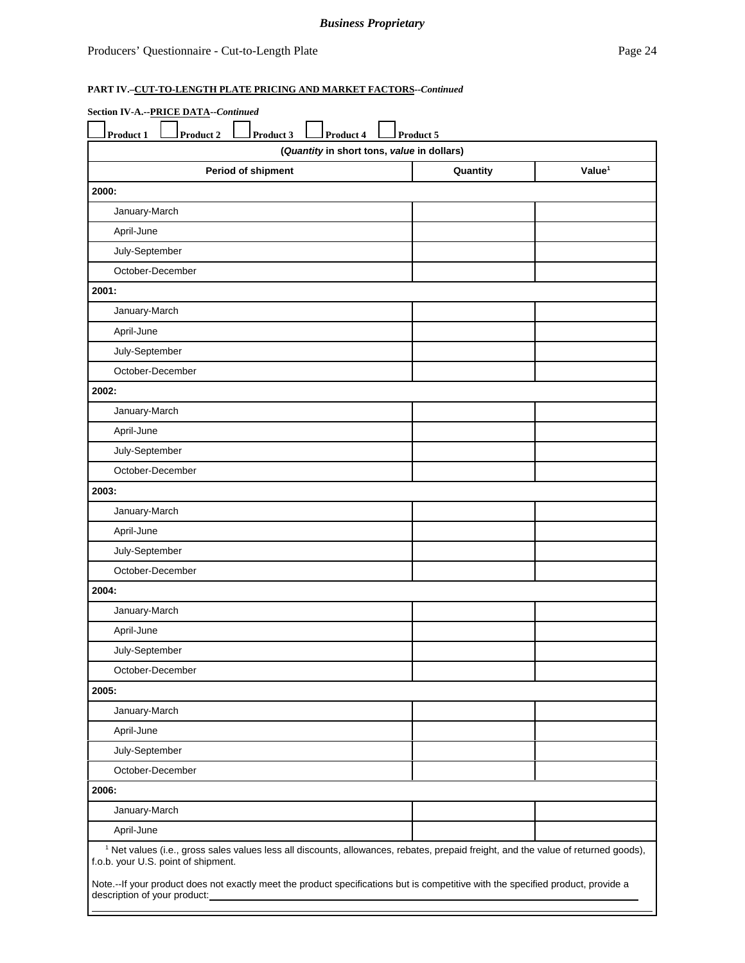## *Business Proprietary*

## **PART IV.–CUT-TO-LENGTH PLATE PRICING AND MARKET FACTORS--***Continued*

| Product 1                    | Product 2<br>Product 3              | Product 4<br>(Quantity in short tons, value in dollars) | Product 5                                                                                                                                     |                    |
|------------------------------|-------------------------------------|---------------------------------------------------------|-----------------------------------------------------------------------------------------------------------------------------------------------|--------------------|
|                              | <b>Period of shipment</b>           |                                                         | Quantity                                                                                                                                      | Value <sup>1</sup> |
| 2000:                        |                                     |                                                         |                                                                                                                                               |                    |
| January-March                |                                     |                                                         |                                                                                                                                               |                    |
| April-June                   |                                     |                                                         |                                                                                                                                               |                    |
| July-September               |                                     |                                                         |                                                                                                                                               |                    |
| October-December             |                                     |                                                         |                                                                                                                                               |                    |
| 2001:                        |                                     |                                                         |                                                                                                                                               |                    |
| January-March                |                                     |                                                         |                                                                                                                                               |                    |
| April-June                   |                                     |                                                         |                                                                                                                                               |                    |
| July-September               |                                     |                                                         |                                                                                                                                               |                    |
| October-December             |                                     |                                                         |                                                                                                                                               |                    |
| 2002:                        |                                     |                                                         |                                                                                                                                               |                    |
| January-March                |                                     |                                                         |                                                                                                                                               |                    |
| April-June                   |                                     |                                                         |                                                                                                                                               |                    |
| July-September               |                                     |                                                         |                                                                                                                                               |                    |
| October-December             |                                     |                                                         |                                                                                                                                               |                    |
| 2003:                        |                                     |                                                         |                                                                                                                                               |                    |
| January-March                |                                     |                                                         |                                                                                                                                               |                    |
| April-June                   |                                     |                                                         |                                                                                                                                               |                    |
| July-September               |                                     |                                                         |                                                                                                                                               |                    |
| October-December             |                                     |                                                         |                                                                                                                                               |                    |
| 2004:                        |                                     |                                                         |                                                                                                                                               |                    |
| January-March                |                                     |                                                         |                                                                                                                                               |                    |
| April-June                   |                                     |                                                         |                                                                                                                                               |                    |
| July-September               |                                     |                                                         |                                                                                                                                               |                    |
| October-December             |                                     |                                                         |                                                                                                                                               |                    |
| 2005:                        |                                     |                                                         |                                                                                                                                               |                    |
| January-March                |                                     |                                                         |                                                                                                                                               |                    |
| April-June                   |                                     |                                                         |                                                                                                                                               |                    |
| July-September               |                                     |                                                         |                                                                                                                                               |                    |
| October-December             |                                     |                                                         |                                                                                                                                               |                    |
| 2006:                        |                                     |                                                         |                                                                                                                                               |                    |
| January-March                |                                     |                                                         |                                                                                                                                               |                    |
| April-June                   |                                     |                                                         |                                                                                                                                               |                    |
|                              | f.o.b. your U.S. point of shipment. |                                                         | <sup>1</sup> Net values (i.e., gross sales values less all discounts, allowances, rebates, prepaid freight, and the value of returned goods), |                    |
| description of your product: |                                     |                                                         | Note.--If your product does not exactly meet the product specifications but is competitive with the specified product, provide a              |                    |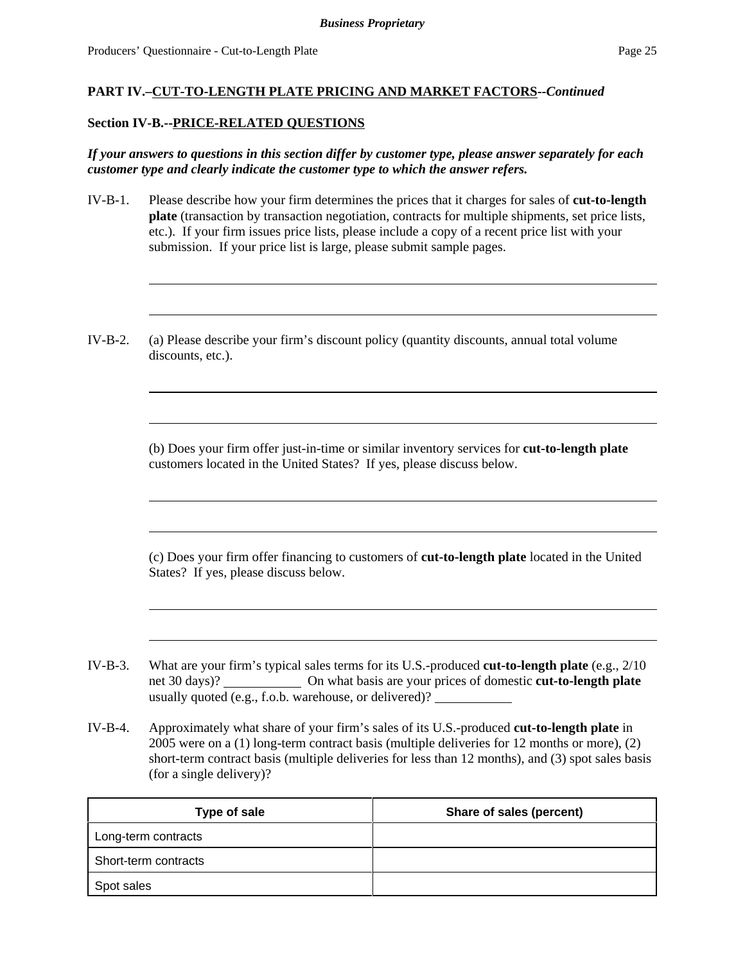#### **Section IV-B.--PRICE-RELATED QUESTIONS**

*If your answers to questions in this section differ by customer type, please answer separately for each customer type and clearly indicate the customer type to which the answer refers.* 

- IV-B-1. Please describe how your firm determines the prices that it charges for sales of **cut-to-length plate** (transaction by transaction negotiation, contracts for multiple shipments, set price lists, etc.). If your firm issues price lists, please include a copy of a recent price list with your submission. If your price list is large, please submit sample pages.
- IV-B-2. (a) Please describe your firm's discount policy (quantity discounts, annual total volume discounts, etc.).

(b) Does your firm offer just-in-time or similar inventory services for **cut-to-length plate** customers located in the United States? If yes, please discuss below.

(c) Does your firm offer financing to customers of **cut-to-length plate** located in the United States? If yes, please discuss below.

- IV-B-3. What are your firm's typical sales terms for its U.S.-produced **cut-to-length plate** (e.g., 2/10 net 30 days)? On what basis are your prices of domestic **cut-to-length plate** usually quoted (e.g., f.o.b. warehouse, or delivered)?
- IV-B-4. Approximately what share of your firm's sales of its U.S.-produced **cut-to-length plate** in 2005 were on a (1) long-term contract basis (multiple deliveries for 12 months or more), (2) short-term contract basis (multiple deliveries for less than 12 months), and (3) spot sales basis (for a single delivery)?

| Type of sale         | Share of sales (percent) |
|----------------------|--------------------------|
| Long-term contracts  |                          |
| Short-term contracts |                          |
| Spot sales           |                          |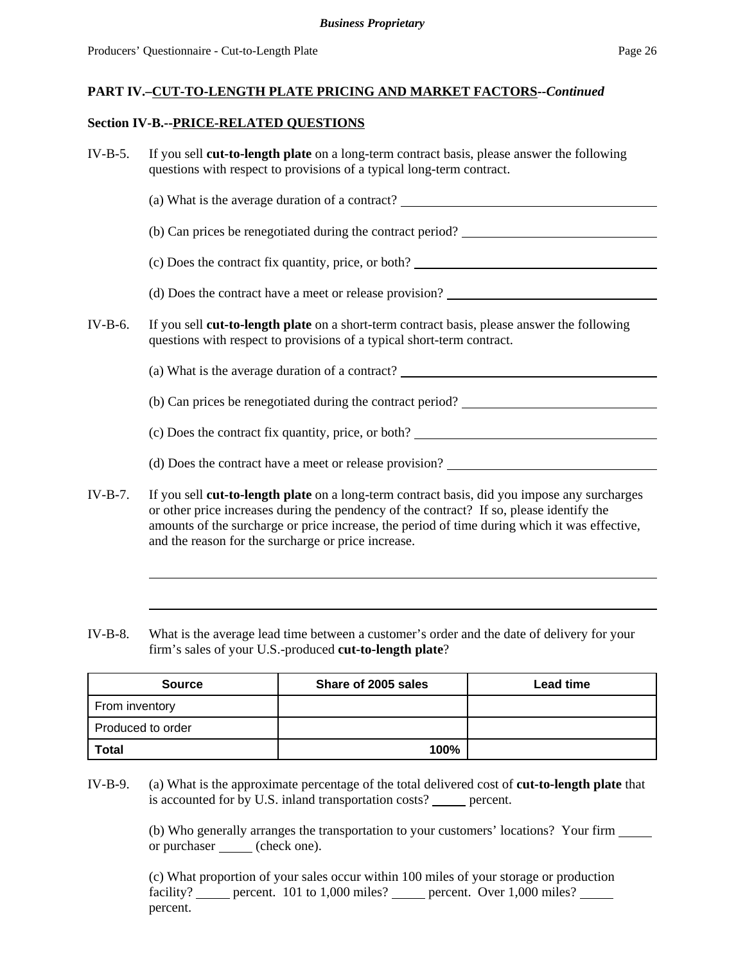#### **Section IV-B.--PRICE-RELATED QUESTIONS**

| $IV-B-5.$ | If you sell cut-to-length plate on a long-term contract basis, please answer the following<br>questions with respect to provisions of a typical long-term contract.                                                                                                                                                                              |
|-----------|--------------------------------------------------------------------------------------------------------------------------------------------------------------------------------------------------------------------------------------------------------------------------------------------------------------------------------------------------|
|           | (a) What is the average duration of a contract?                                                                                                                                                                                                                                                                                                  |
|           | (b) Can prices be renegotiated during the contract period?                                                                                                                                                                                                                                                                                       |
|           |                                                                                                                                                                                                                                                                                                                                                  |
|           |                                                                                                                                                                                                                                                                                                                                                  |
| $IV-B-6.$ | If you sell cut-to-length plate on a short-term contract basis, please answer the following<br>questions with respect to provisions of a typical short-term contract.                                                                                                                                                                            |
|           | (a) What is the average duration of a contract? ________________________________                                                                                                                                                                                                                                                                 |
|           |                                                                                                                                                                                                                                                                                                                                                  |
|           | (c) Does the contract fix quantity, price, or both?                                                                                                                                                                                                                                                                                              |
|           |                                                                                                                                                                                                                                                                                                                                                  |
| $IV-B-7.$ | If you sell cut-to-length plate on a long-term contract basis, did you impose any surcharges<br>or other price increases during the pendency of the contract? If so, please identify the<br>amounts of the surcharge or price increase, the period of time during which it was effective,<br>and the reason for the surcharge or price increase. |

IV-B-8. What is the average lead time between a customer's order and the date of delivery for your firm's sales of your U.S.-produced **cut-to-length plate**?

| <b>Source</b>     | Share of 2005 sales | <b>Lead time</b> |
|-------------------|---------------------|------------------|
| From inventory    |                     |                  |
| Produced to order |                     |                  |
| Total             | 100%                |                  |

IV-B-9. (a) What is the approximate percentage of the total delivered cost of **cut-to-length plate** that is accounted for by U.S. inland transportation costs? \_\_\_\_\_\_ percent.

> (b) Who generally arranges the transportation to your customers' locations? Your firm or purchaser (check one).

(c) What proportion of your sales occur within 100 miles of your storage or production facility? percent. 101 to 1,000 miles? percent. Over 1,000 miles? percent.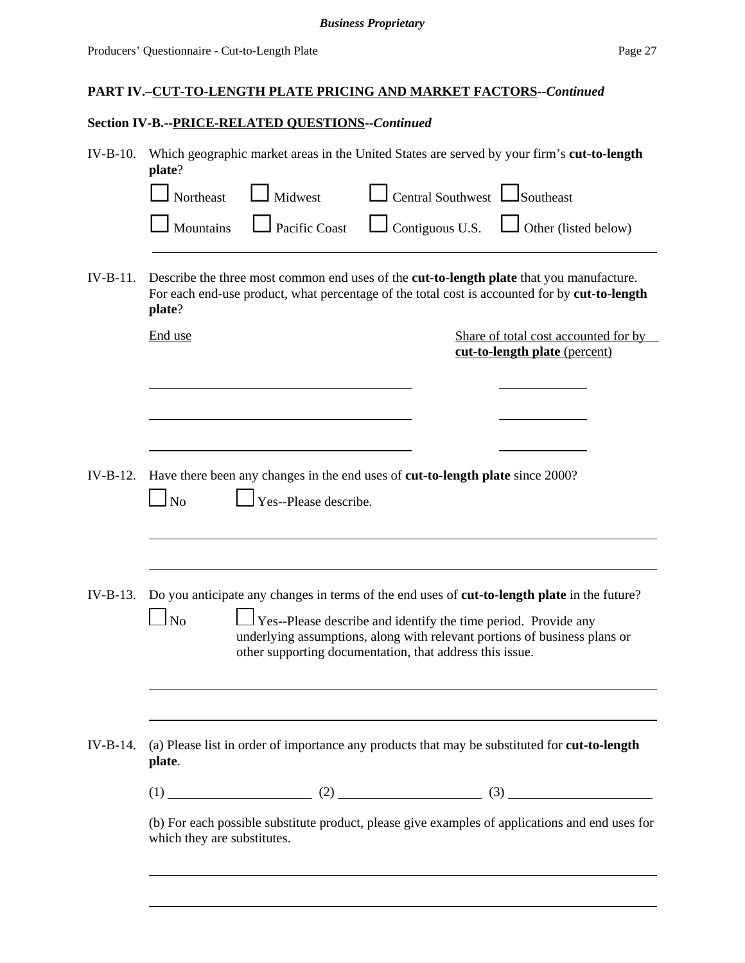### *Business Proprietary*

## **PART IV.–CUT-TO-LENGTH PLATE PRICING AND MARKET FACTORS--***Continued*

# **Section IV-B.--PRICE-RELATED QUESTIONS--***Continued*

| $IV-B-10.$ | Which geographic market areas in the United States are served by your firm's cut-to-length<br>plate?                                                                                                                                                                                                                      |
|------------|---------------------------------------------------------------------------------------------------------------------------------------------------------------------------------------------------------------------------------------------------------------------------------------------------------------------------|
|            | $\Box$ Central Southwest $\Box$ Southeast<br>Northeast<br>$\mathsf{I}$ Midwest                                                                                                                                                                                                                                            |
|            | Pacific Coast<br>$\Box$ Contiguous U.S.<br>$\Box$ Other (listed below)<br>Mountains                                                                                                                                                                                                                                       |
| $IV-B-11.$ | Describe the three most common end uses of the <b>cut-to-length plate</b> that you manufacture.<br>For each end-use product, what percentage of the total cost is accounted for by cut-to-length<br>plate?                                                                                                                |
|            | End use<br>Share of total cost accounted for by<br>cut-to-length plate (percent)                                                                                                                                                                                                                                          |
|            |                                                                                                                                                                                                                                                                                                                           |
|            |                                                                                                                                                                                                                                                                                                                           |
| $IV-B-12.$ | Have there been any changes in the end uses of cut-to-length plate since 2000?<br>Yes--Please describe.<br>N <sub>o</sub>                                                                                                                                                                                                 |
| $IV-B-13.$ | Do you anticipate any changes in terms of the end uses of cut-to-length plate in the future?<br>$\overline{N}$<br>Yes--Please describe and identify the time period. Provide any<br>underlying assumptions, along with relevant portions of business plans or<br>other supporting documentation, that address this issue. |
|            |                                                                                                                                                                                                                                                                                                                           |
| $IV-B-14.$ | (a) Please list in order of importance any products that may be substituted for <b>cut-to-length</b><br>plate.                                                                                                                                                                                                            |
|            | $(1)$ (1) (2) (2) (3) (3)                                                                                                                                                                                                                                                                                                 |
|            | (b) For each possible substitute product, please give examples of applications and end uses for<br>which they are substitutes.                                                                                                                                                                                            |
|            |                                                                                                                                                                                                                                                                                                                           |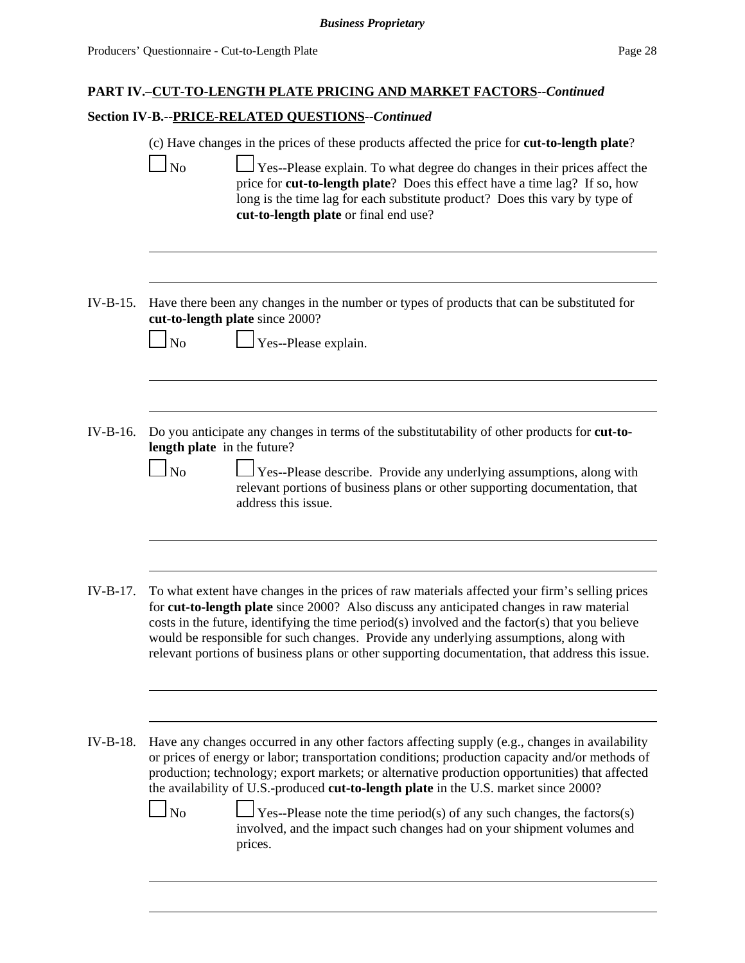## **Section IV-B.--PRICE-RELATED QUESTIONS--***Continued*

|          | (c) Have changes in the prices of these products affected the price for <b>cut-to-length plate</b> ?                                                                                                                                                                                                                                                                                                                                                                                                                                                                         |
|----------|------------------------------------------------------------------------------------------------------------------------------------------------------------------------------------------------------------------------------------------------------------------------------------------------------------------------------------------------------------------------------------------------------------------------------------------------------------------------------------------------------------------------------------------------------------------------------|
|          | Yes--Please explain. To what degree do changes in their prices affect the<br>N <sub>o</sub><br>price for cut-to-length plate? Does this effect have a time lag? If so, how<br>long is the time lag for each substitute product? Does this vary by type of<br>cut-to-length plate or final end use?                                                                                                                                                                                                                                                                           |
|          |                                                                                                                                                                                                                                                                                                                                                                                                                                                                                                                                                                              |
| IV-B-15. | Have there been any changes in the number or types of products that can be substituted for<br>cut-to-length plate since 2000?<br>Yes--Please explain.<br>N <sub>o</sub>                                                                                                                                                                                                                                                                                                                                                                                                      |
|          |                                                                                                                                                                                                                                                                                                                                                                                                                                                                                                                                                                              |
|          |                                                                                                                                                                                                                                                                                                                                                                                                                                                                                                                                                                              |
| IV-B-16. | Do you anticipate any changes in terms of the substitutability of other products for cut-to-<br>length plate in the future?                                                                                                                                                                                                                                                                                                                                                                                                                                                  |
|          | Yes--Please describe. Provide any underlying assumptions, along with<br>N <sub>o</sub><br>relevant portions of business plans or other supporting documentation, that<br>address this issue.                                                                                                                                                                                                                                                                                                                                                                                 |
|          |                                                                                                                                                                                                                                                                                                                                                                                                                                                                                                                                                                              |
| IV-B-17. | To what extent have changes in the prices of raw materials affected your firm's selling prices<br>for cut-to-length plate since 2000? Also discuss any anticipated changes in raw material<br>costs in the future, identifying the time period(s) involved and the factor(s) that you believe<br>would be responsible for such changes. Provide any underlying assumptions, along with<br>relevant portions of business plans or other supporting documentation, that address this issue.                                                                                    |
|          |                                                                                                                                                                                                                                                                                                                                                                                                                                                                                                                                                                              |
| IV-B-18. | Have any changes occurred in any other factors affecting supply (e.g., changes in availability<br>or prices of energy or labor; transportation conditions; production capacity and/or methods of<br>production; technology; export markets; or alternative production opportunities) that affected<br>the availability of U.S.-produced cut-to-length plate in the U.S. market since 2000?<br>$\overline{N}$<br>Yes--Please note the time period(s) of any such changes, the factors(s)<br>involved, and the impact such changes had on your shipment volumes and<br>prices. |
|          |                                                                                                                                                                                                                                                                                                                                                                                                                                                                                                                                                                              |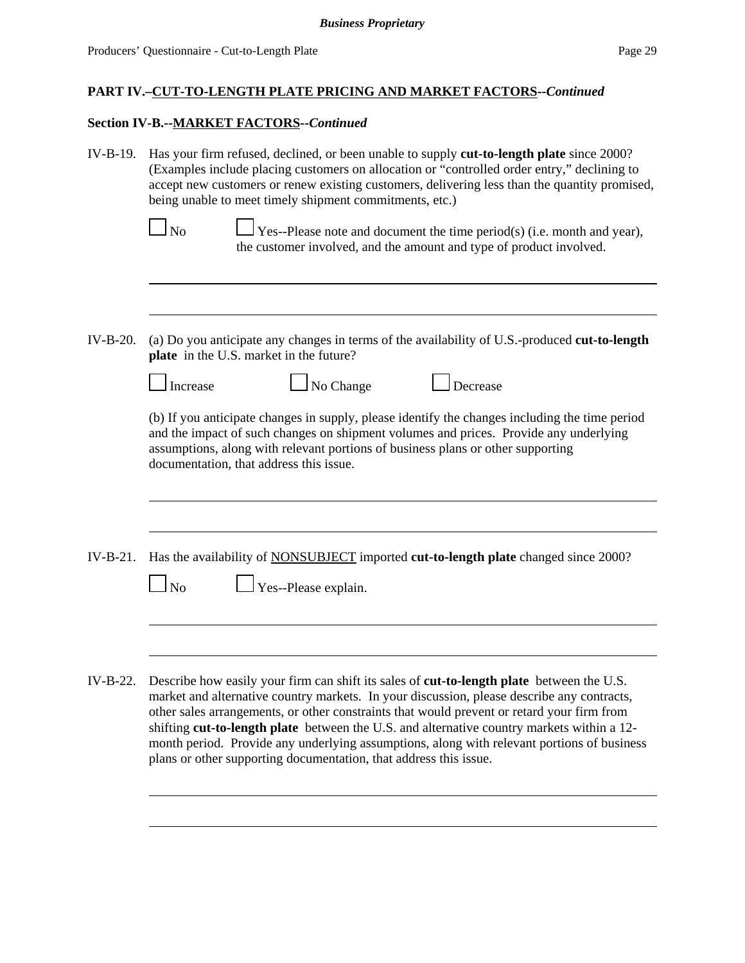# **Section IV-B.--MARKET FACTORS--***Continued*

| IV-B-19.   | Has your firm refused, declined, or been unable to supply <b>cut-to-length plate</b> since 2000?<br>(Examples include placing customers on allocation or "controlled order entry," declining to<br>accept new customers or renew existing customers, delivering less than the quantity promised,<br>being unable to meet timely shipment commitments, etc.)<br>$\log$<br>Yes--Please note and document the time period(s) (i.e. month and year),                                                                                                       |  |  |  |  |  |
|------------|--------------------------------------------------------------------------------------------------------------------------------------------------------------------------------------------------------------------------------------------------------------------------------------------------------------------------------------------------------------------------------------------------------------------------------------------------------------------------------------------------------------------------------------------------------|--|--|--|--|--|
|            | the customer involved, and the amount and type of product involved.                                                                                                                                                                                                                                                                                                                                                                                                                                                                                    |  |  |  |  |  |
| IV-B-20.   | (a) Do you anticipate any changes in terms of the availability of U.S.-produced cut-to-length<br>plate in the U.S. market in the future?                                                                                                                                                                                                                                                                                                                                                                                                               |  |  |  |  |  |
|            | No Change<br>Decrease<br>Increase                                                                                                                                                                                                                                                                                                                                                                                                                                                                                                                      |  |  |  |  |  |
|            | (b) If you anticipate changes in supply, please identify the changes including the time period<br>and the impact of such changes on shipment volumes and prices. Provide any underlying<br>assumptions, along with relevant portions of business plans or other supporting<br>documentation, that address this issue.                                                                                                                                                                                                                                  |  |  |  |  |  |
| $IV-B-21.$ | Has the availability of <b>NONSUBJECT</b> imported cut-to-length plate changed since 2000?                                                                                                                                                                                                                                                                                                                                                                                                                                                             |  |  |  |  |  |
|            | Yes--Please explain.<br>$\log$                                                                                                                                                                                                                                                                                                                                                                                                                                                                                                                         |  |  |  |  |  |
|            |                                                                                                                                                                                                                                                                                                                                                                                                                                                                                                                                                        |  |  |  |  |  |
| IV-B-22.   | Describe how easily your firm can shift its sales of cut-to-length plate between the U.S.<br>market and alternative country markets. In your discussion, please describe any contracts,<br>other sales arrangements, or other constraints that would prevent or retard your firm from<br>shifting cut-to-length plate between the U.S. and alternative country markets within a 12-<br>month period. Provide any underlying assumptions, along with relevant portions of business<br>plans or other supporting documentation, that address this issue. |  |  |  |  |  |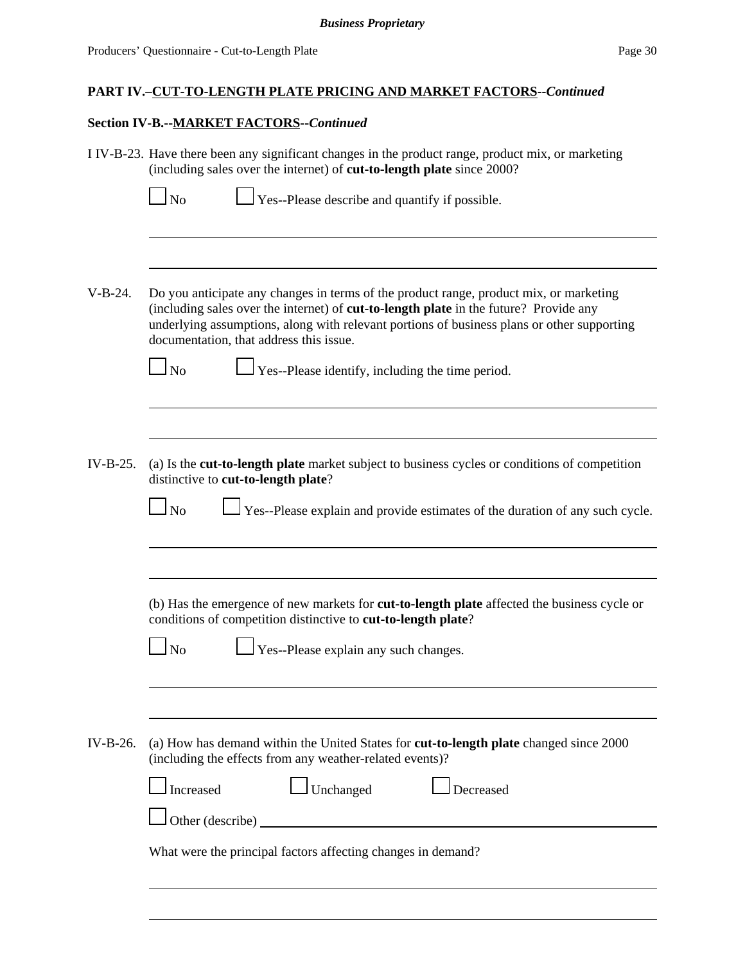#### **Section IV-B.--MARKET FACTORS--***Continued*

 $\overline{\phantom{a}}$ 

I IV-B-23. Have there been any significant changes in the product range, product mix, or marketing (including sales over the internet) of **cut-to-length plate** since 2000?

| $\Box$ No | $\Box$ Yes--Please describe and quantify if |  |
|-----------|---------------------------------------------|--|
|           |                                             |  |

V-B-24. Do you anticipate any changes in terms of the product range, product mix, or marketing (including sales over the internet) of **cut-to-length plate** in the future? Provide any underlying assumptions, along with relevant portions of business plans or other supporting documentation, that address this issue.

 $\log N$  Yes--Please identify, including the time period.

IV-B-25. (a) Is the **cut-to-length plate** market subject to business cycles or conditions of competition distinctive to **cut-to-length plate**?

| No |  | Yes--Please explain and provide estimates of the duration of any such cycle. |  |  |  |  |  |  |  |
|----|--|------------------------------------------------------------------------------|--|--|--|--|--|--|--|
|----|--|------------------------------------------------------------------------------|--|--|--|--|--|--|--|

possible.

(b) Has the emergence of new markets for **cut-to-length plate** affected the business cycle or conditions of competition distinctive to **cut-to-length plate**?

 $\Box$  No  $\Box$  Yes--Please explain any such changes.

IV-B-26. (a) How has demand within the United States for **cut-to-length plate** changed since 2000 (including the effects from any weather-related events)?

| $\Box$ Increased                                             | $\Box$ Unchanged | $\Box$ Decreased |  |
|--------------------------------------------------------------|------------------|------------------|--|
| $\Box$ Other (describe) $\Box$                               |                  |                  |  |
| What were the principal factors affecting changes in demand? |                  |                  |  |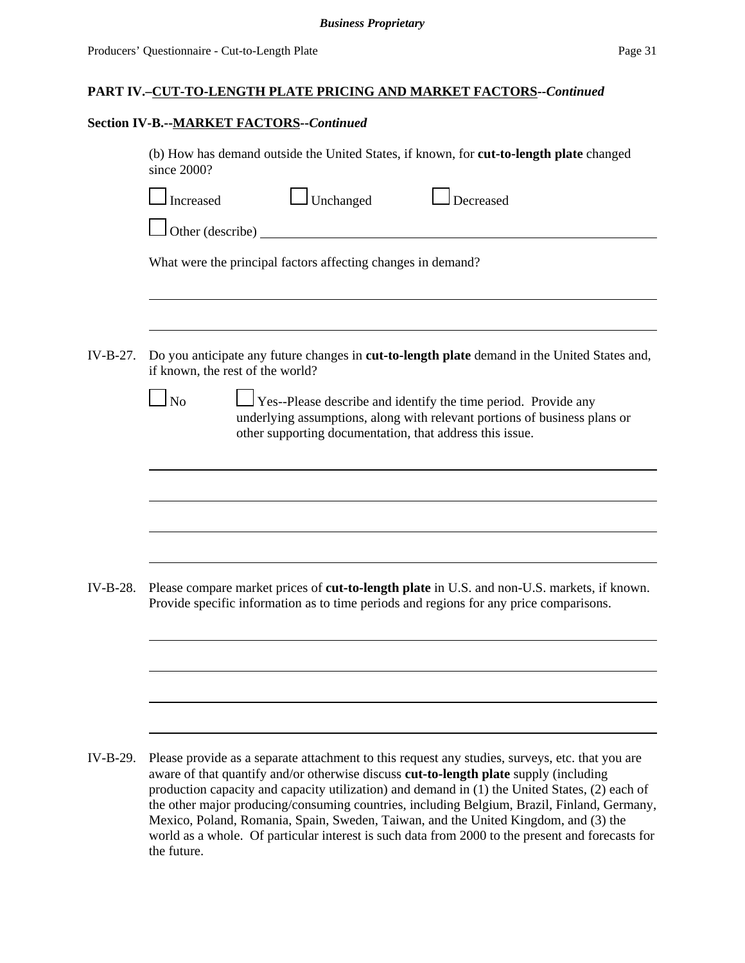the future.

## **PART IV.–CUT-TO-LENGTH PLATE PRICING AND MARKET FACTORS--***Continued*

## **Section IV-B.--MARKET FACTORS--***Continued*

|          | (b) How has demand outside the United States, if known, for cut-to-length plate changed<br>since 2000?                                                                                                                                                                                                                                                                                                                                                                           |
|----------|----------------------------------------------------------------------------------------------------------------------------------------------------------------------------------------------------------------------------------------------------------------------------------------------------------------------------------------------------------------------------------------------------------------------------------------------------------------------------------|
|          | $\Box$ Unchanged<br>Decreased<br>Increased                                                                                                                                                                                                                                                                                                                                                                                                                                       |
|          | $\Box$ Other (describe) $\Box$                                                                                                                                                                                                                                                                                                                                                                                                                                                   |
|          | What were the principal factors affecting changes in demand?                                                                                                                                                                                                                                                                                                                                                                                                                     |
| IV-B-27. | Do you anticipate any future changes in <b>cut-to-length plate</b> demand in the United States and,                                                                                                                                                                                                                                                                                                                                                                              |
|          | if known, the rest of the world?<br>$\Box$ Yes--Please describe and identify the time period. Provide any<br>$\log$<br>underlying assumptions, along with relevant portions of business plans or<br>other supporting documentation, that address this issue.                                                                                                                                                                                                                     |
|          |                                                                                                                                                                                                                                                                                                                                                                                                                                                                                  |
|          |                                                                                                                                                                                                                                                                                                                                                                                                                                                                                  |
| IV-B-28. | Please compare market prices of <b>cut-to-length plate</b> in U.S. and non-U.S. markets, if known.<br>Provide specific information as to time periods and regions for any price comparisons.                                                                                                                                                                                                                                                                                     |
|          |                                                                                                                                                                                                                                                                                                                                                                                                                                                                                  |
|          |                                                                                                                                                                                                                                                                                                                                                                                                                                                                                  |
|          |                                                                                                                                                                                                                                                                                                                                                                                                                                                                                  |
| IV-B-29. | Please provide as a separate attachment to this request any studies, surveys, etc. that you are<br>aware of that quantify and/or otherwise discuss cut-to-length plate supply (including<br>production capacity and capacity utilization) and demand in (1) the United States, (2) each of<br>the other major producing/consuming countries, including Belgium, Brazil, Finland, Germany,<br>Mexico, Poland, Romania, Spain, Sweden, Taiwan, and the United Kingdom, and (3) the |

world as a whole. Of particular interest is such data from 2000 to the present and forecasts for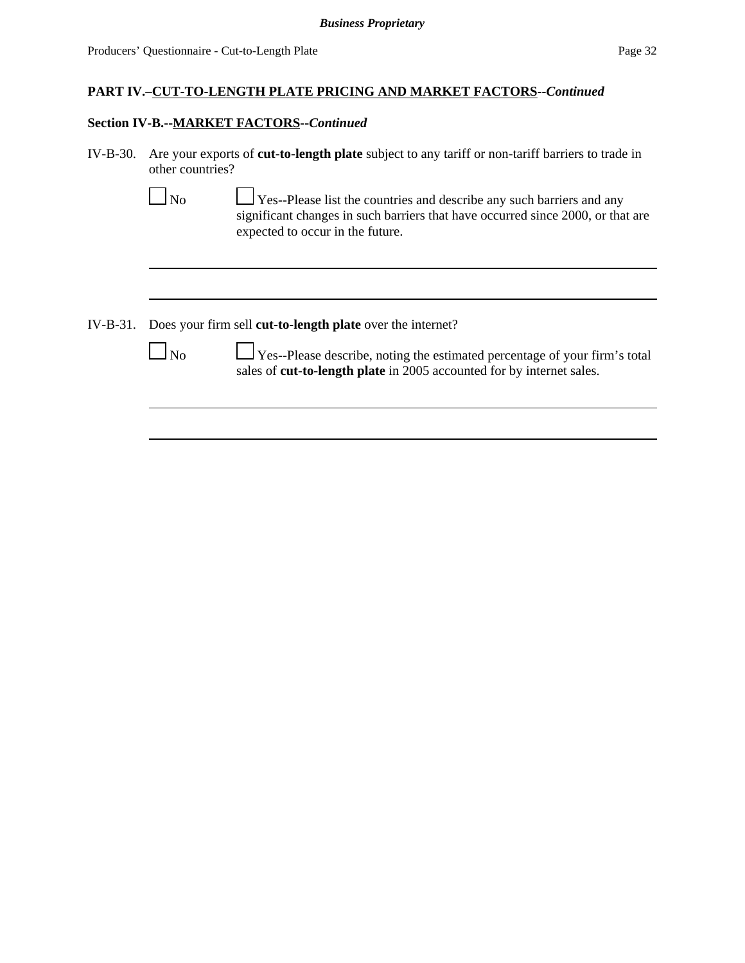#### **Section IV-B.--MARKET FACTORS--***Continued*

IV-B-30. Are your exports of **cut-to-length plate** subject to any tariff or non-tariff barriers to trade in other countries?

| No | $\Box$ Yes--Please list the countries and describe any such barriers and any    |
|----|---------------------------------------------------------------------------------|
|    | significant changes in such barriers that have occurred since 2000, or that are |
|    | expected to occur in the future.                                                |

IV-B-31. Does your firm sell **cut-to-length plate** over the internet?

|  | ۰. |
|--|----|
|--|----|

 $\Box$  Yes--Please describe, noting the estimated percentage of your firm's total sales of **cut-to-length plate** in 2005 accounted for by internet sales.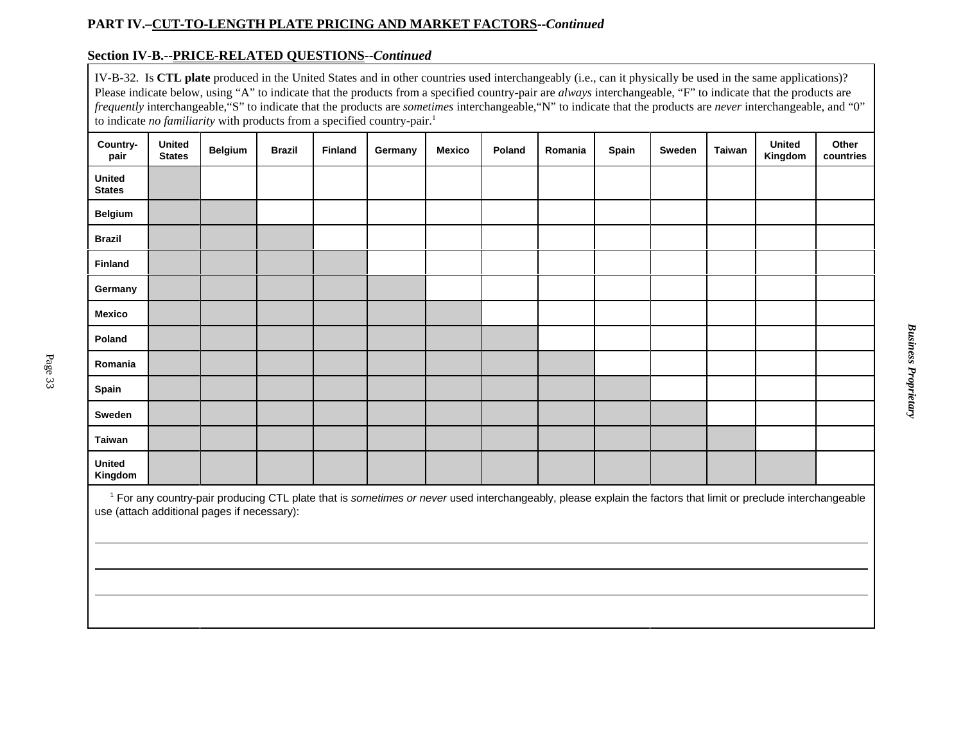### **Section IV-B.--PRICE-RELATED QUESTIONS--***Continued*

IV-B-32. Is **CTL plate** produced in the United States and in other countries used interchangeably (i.e., can it physically be used in the same applications)? Please indicate below, using "A" to indicate that the products from a specified country-pair are *always* interchangeable, "F" to indicate that the products are *frequently* interchangeable,"S" to indicate that the products are *sometimes* interchangeable,"N" to indicate that the products are *never* interchangeable, and "0" to indicate *no familiarity* with products from a specified country-pair.<sup>1</sup>

| Country-<br>pair         | <b>United</b><br><b>States</b>                                                                                                                                           | <b>Belgium</b> | <b>Brazil</b> | <b>Finland</b> | Germany | <b>Mexico</b> | Poland | Romania | Spain | Sweden | Taiwan | <b>United</b><br>Kingdom | Other<br>countries |
|--------------------------|--------------------------------------------------------------------------------------------------------------------------------------------------------------------------|----------------|---------------|----------------|---------|---------------|--------|---------|-------|--------|--------|--------------------------|--------------------|
| United<br><b>States</b>  |                                                                                                                                                                          |                |               |                |         |               |        |         |       |        |        |                          |                    |
| <b>Belgium</b>           |                                                                                                                                                                          |                |               |                |         |               |        |         |       |        |        |                          |                    |
| <b>Brazil</b>            |                                                                                                                                                                          |                |               |                |         |               |        |         |       |        |        |                          |                    |
| Finland                  |                                                                                                                                                                          |                |               |                |         |               |        |         |       |        |        |                          |                    |
| Germany                  |                                                                                                                                                                          |                |               |                |         |               |        |         |       |        |        |                          |                    |
| Mexico                   |                                                                                                                                                                          |                |               |                |         |               |        |         |       |        |        |                          |                    |
| Poland                   |                                                                                                                                                                          |                |               |                |         |               |        |         |       |        |        |                          |                    |
| Romania                  |                                                                                                                                                                          |                |               |                |         |               |        |         |       |        |        |                          |                    |
| Spain                    |                                                                                                                                                                          |                |               |                |         |               |        |         |       |        |        |                          |                    |
| Sweden                   |                                                                                                                                                                          |                |               |                |         |               |        |         |       |        |        |                          |                    |
| Taiwan                   |                                                                                                                                                                          |                |               |                |         |               |        |         |       |        |        |                          |                    |
| <b>United</b><br>Kingdom |                                                                                                                                                                          |                |               |                |         |               |        |         |       |        |        |                          |                    |
|                          | <sup>1</sup> For any country-pair producing CTL plate that is sometimes or never used interchangeably, please explain the factors that limit or preclude interchangeable |                |               |                |         |               |        |         |       |        |        |                          |                    |

use (attach additional pages if necessary):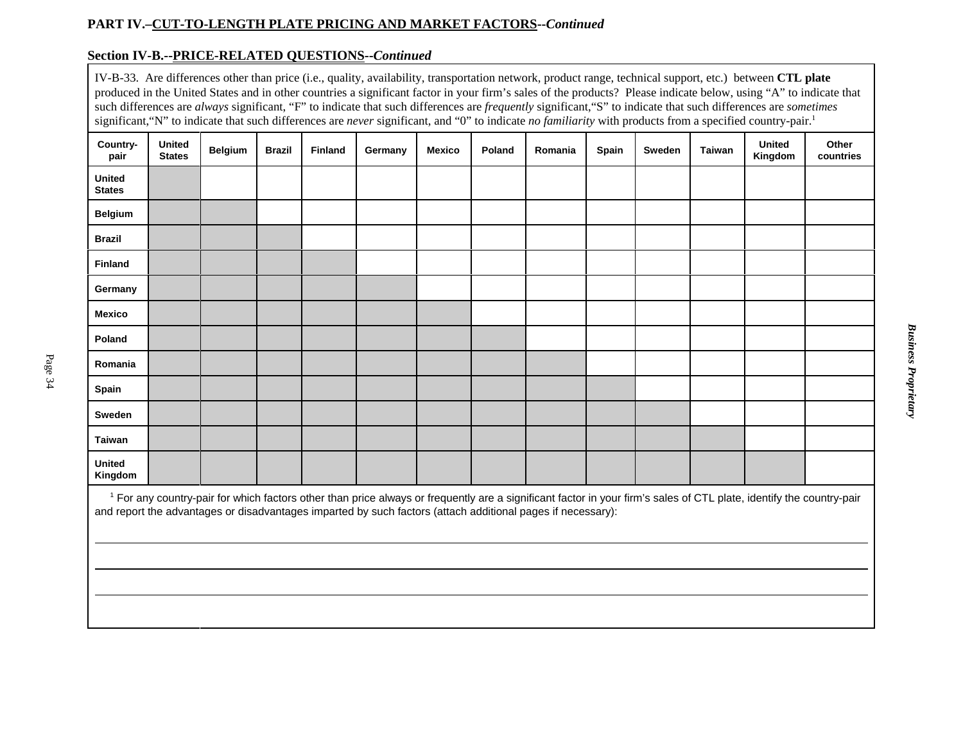### **Section IV-B.--PRICE-RELATED QUESTIONS--***Continued*

IV-B-33. Are differences other than price (i.e., quality, availability, transportation network, product range, technical support, etc.) between **CTL plate** produced in the United States and in other countries a significant factor in your firm's sales of the products? Please indicate below, using "A" to indicate that such differences are *always* significant, "F" to indicate that such differences are *frequently* significant,"S" to indicate that such differences are *sometimes* significant, "N" to indicate that such differences are *never* significant, and "0" to indicate *no familiarity* with products from a specified country-pair.<sup>1</sup>

|                         |                                |                |               |                |                                                                                                             |               |        |         |              |        |        | . .                                                                                                                                                                             |                    |
|-------------------------|--------------------------------|----------------|---------------|----------------|-------------------------------------------------------------------------------------------------------------|---------------|--------|---------|--------------|--------|--------|---------------------------------------------------------------------------------------------------------------------------------------------------------------------------------|--------------------|
| Country-<br>pair        | <b>United</b><br><b>States</b> | <b>Belgium</b> | <b>Brazil</b> | <b>Finland</b> | Germany                                                                                                     | <b>Mexico</b> | Poland | Romania | <b>Spain</b> | Sweden | Taiwan | <b>United</b><br>Kingdom                                                                                                                                                        | Other<br>countries |
| United<br><b>States</b> |                                |                |               |                |                                                                                                             |               |        |         |              |        |        |                                                                                                                                                                                 |                    |
| <b>Belgium</b>          |                                |                |               |                |                                                                                                             |               |        |         |              |        |        |                                                                                                                                                                                 |                    |
| <b>Brazil</b>           |                                |                |               |                |                                                                                                             |               |        |         |              |        |        |                                                                                                                                                                                 |                    |
| <b>Finland</b>          |                                |                |               |                |                                                                                                             |               |        |         |              |        |        |                                                                                                                                                                                 |                    |
| Germany                 |                                |                |               |                |                                                                                                             |               |        |         |              |        |        |                                                                                                                                                                                 |                    |
| <b>Mexico</b>           |                                |                |               |                |                                                                                                             |               |        |         |              |        |        |                                                                                                                                                                                 |                    |
| Poland                  |                                |                |               |                |                                                                                                             |               |        |         |              |        |        |                                                                                                                                                                                 |                    |
| Romania                 |                                |                |               |                |                                                                                                             |               |        |         |              |        |        |                                                                                                                                                                                 |                    |
| Spain                   |                                |                |               |                |                                                                                                             |               |        |         |              |        |        |                                                                                                                                                                                 |                    |
| Sweden                  |                                |                |               |                |                                                                                                             |               |        |         |              |        |        |                                                                                                                                                                                 |                    |
| <b>Taiwan</b>           |                                |                |               |                |                                                                                                             |               |        |         |              |        |        |                                                                                                                                                                                 |                    |
| United<br>Kingdom       |                                |                |               |                |                                                                                                             |               |        |         |              |        |        |                                                                                                                                                                                 |                    |
|                         |                                |                |               |                | and report the advantages or disadvantages imparted by such factors (attach additional pages if necessary): |               |        |         |              |        |        | <sup>1</sup> For any country-pair for which factors other than price always or frequently are a significant factor in your firm's sales of CTL plate, identify the country-pair |                    |

**Business Proprietary** *Business Proprietary*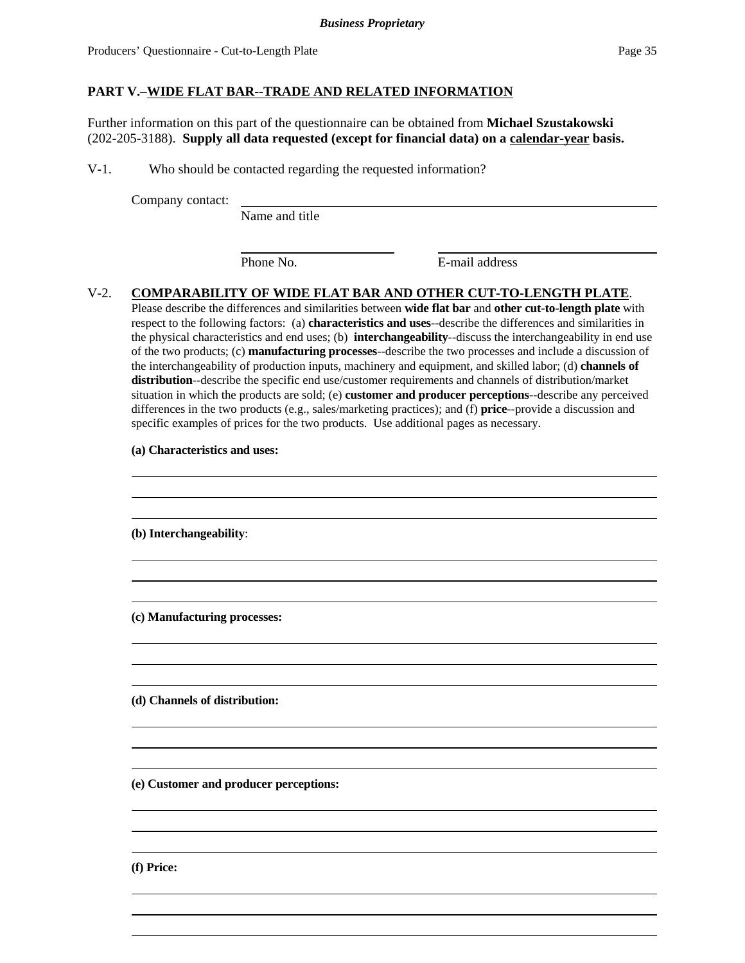### **PART V.–WIDE FLAT BAR--TRADE AND RELATED INFORMATION**

Further information on this part of the questionnaire can be obtained from **Michael Szustakowski** (202-205-3188). **Supply all data requested (except for financial data) on a calendar-year basis.**

V-1. Who should be contacted regarding the requested information?

Company contact:

Name and title

Phone No. **E**-mail address

## V-2. **COMPARABILITY OF WIDE FLAT BAR AND OTHER CUT-TO-LENGTH PLATE**.

Please describe the differences and similarities between **wide flat bar** and **other cut-to-length plate** with respect to the following factors: (a) **characteristics and uses**--describe the differences and similarities in the physical characteristics and end uses; (b) **interchangeability**--discuss the interchangeability in end use of the two products; (c) **manufacturing processes**--describe the two processes and include a discussion of the interchangeability of production inputs, machinery and equipment, and skilled labor; (d) **channels of distribution**--describe the specific end use/customer requirements and channels of distribution/market situation in which the products are sold; (e) **customer and producer perceptions**--describe any perceived differences in the two products (e.g., sales/marketing practices); and (f) **price**--provide a discussion and specific examples of prices for the two products. Use additional pages as necessary.

**(a) Characteristics and uses:**

**(b) Interchangeability**: **(c) Manufacturing processes: (d) Channels of distribution: (e) Customer and producer perceptions:** 

**(f) Price:**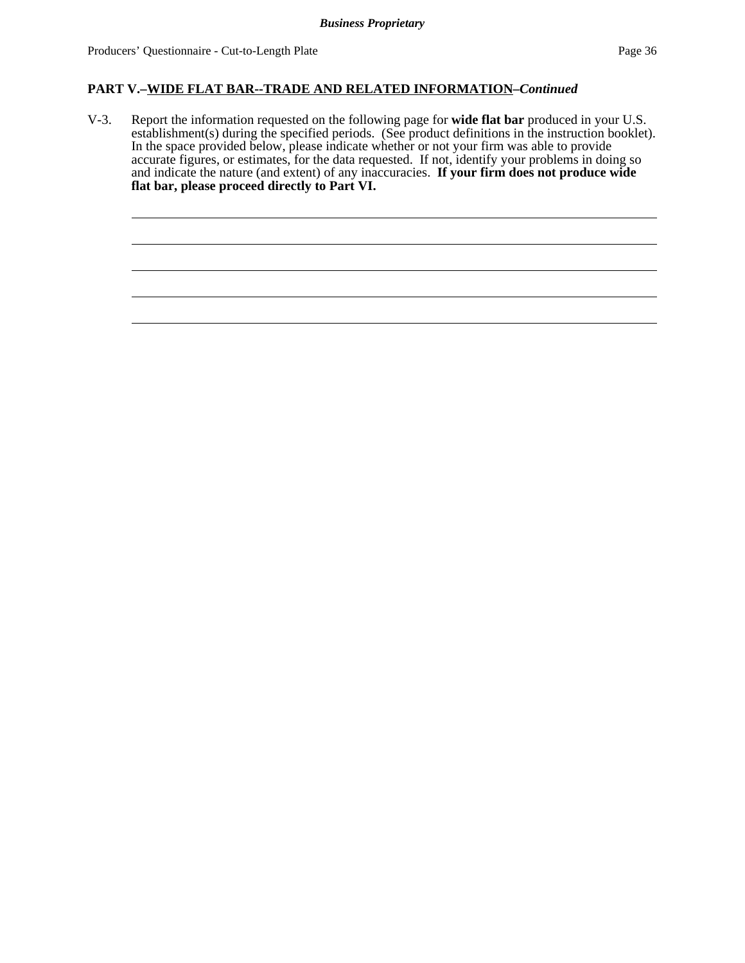### **PART V.–WIDE FLAT BAR--TRADE AND RELATED INFORMATION***–Continued*

V-3. Report the information requested on the following page for **wide flat bar** produced in your U.S. establishment(s) during the specified periods. (See product definitions in the instruction booklet). In the space provided below, please indicate whether or not your firm was able to provide accurate figures, or estimates, for the data requested. If not, identify your problems in doing so and indicate the nature (and extent) of any inaccuracies. **If your firm does not produce wide flat bar, please proceed directly to Part VI.**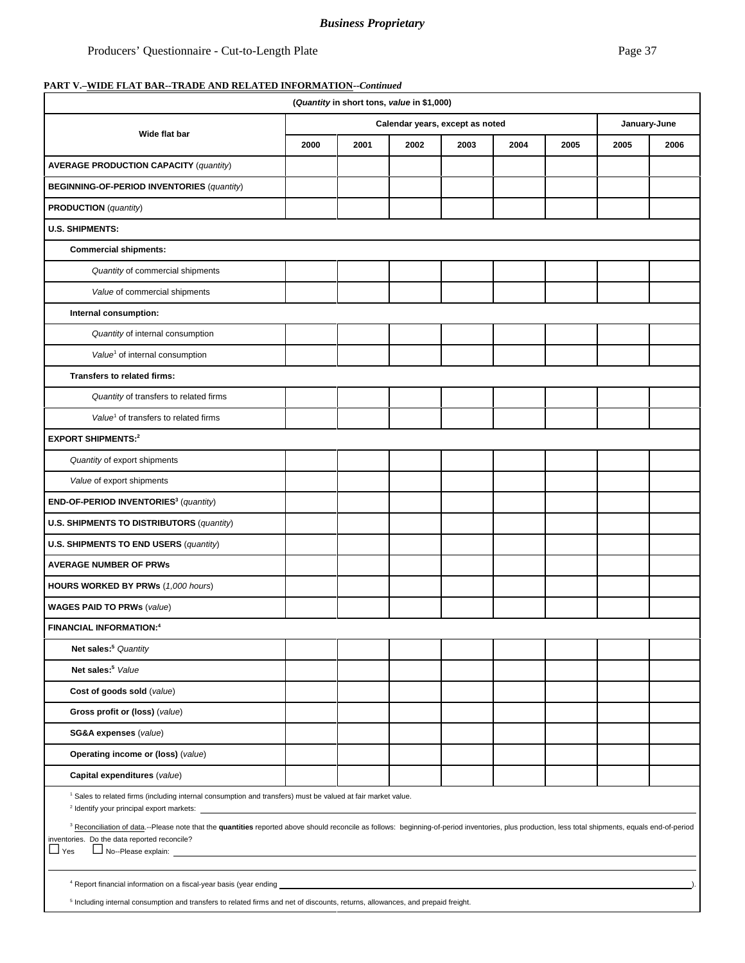#### *Business Proprietary*

## **PART V.–WIDE FLAT BAR--TRADE AND RELATED INFORMATION--***Continued*

|                                                                                                                                                                                                                                                                                                                                                                                                   | (Quantity in short tons, value in \$1,000) |                                 |      |      |              |      |      |      |  |
|---------------------------------------------------------------------------------------------------------------------------------------------------------------------------------------------------------------------------------------------------------------------------------------------------------------------------------------------------------------------------------------------------|--------------------------------------------|---------------------------------|------|------|--------------|------|------|------|--|
| Wide flat bar                                                                                                                                                                                                                                                                                                                                                                                     |                                            | Calendar years, except as noted |      |      | January-June |      |      |      |  |
|                                                                                                                                                                                                                                                                                                                                                                                                   | 2000                                       | 2001                            | 2002 | 2003 | 2004         | 2005 | 2005 | 2006 |  |
| <b>AVERAGE PRODUCTION CAPACITY (quantity)</b>                                                                                                                                                                                                                                                                                                                                                     |                                            |                                 |      |      |              |      |      |      |  |
| <b>BEGINNING-OF-PERIOD INVENTORIES (quantity)</b>                                                                                                                                                                                                                                                                                                                                                 |                                            |                                 |      |      |              |      |      |      |  |
| <b>PRODUCTION</b> (quantity)                                                                                                                                                                                                                                                                                                                                                                      |                                            |                                 |      |      |              |      |      |      |  |
| <b>U.S. SHIPMENTS:</b>                                                                                                                                                                                                                                                                                                                                                                            |                                            |                                 |      |      |              |      |      |      |  |
| <b>Commercial shipments:</b>                                                                                                                                                                                                                                                                                                                                                                      |                                            |                                 |      |      |              |      |      |      |  |
| Quantity of commercial shipments                                                                                                                                                                                                                                                                                                                                                                  |                                            |                                 |      |      |              |      |      |      |  |
| Value of commercial shipments                                                                                                                                                                                                                                                                                                                                                                     |                                            |                                 |      |      |              |      |      |      |  |
| Internal consumption:                                                                                                                                                                                                                                                                                                                                                                             |                                            |                                 |      |      |              |      |      |      |  |
| Quantity of internal consumption                                                                                                                                                                                                                                                                                                                                                                  |                                            |                                 |      |      |              |      |      |      |  |
| Value <sup>1</sup> of internal consumption                                                                                                                                                                                                                                                                                                                                                        |                                            |                                 |      |      |              |      |      |      |  |
| <b>Transfers to related firms:</b>                                                                                                                                                                                                                                                                                                                                                                |                                            |                                 |      |      |              |      |      |      |  |
| Quantity of transfers to related firms                                                                                                                                                                                                                                                                                                                                                            |                                            |                                 |      |      |              |      |      |      |  |
| Value <sup>1</sup> of transfers to related firms                                                                                                                                                                                                                                                                                                                                                  |                                            |                                 |      |      |              |      |      |      |  |
| <b>EXPORT SHIPMENTS:2</b>                                                                                                                                                                                                                                                                                                                                                                         |                                            |                                 |      |      |              |      |      |      |  |
| Quantity of export shipments                                                                                                                                                                                                                                                                                                                                                                      |                                            |                                 |      |      |              |      |      |      |  |
| Value of export shipments                                                                                                                                                                                                                                                                                                                                                                         |                                            |                                 |      |      |              |      |      |      |  |
| END-OF-PERIOD INVENTORIES <sup>3</sup> (quantity)                                                                                                                                                                                                                                                                                                                                                 |                                            |                                 |      |      |              |      |      |      |  |
| <b>U.S. SHIPMENTS TO DISTRIBUTORS (quantity)</b>                                                                                                                                                                                                                                                                                                                                                  |                                            |                                 |      |      |              |      |      |      |  |
| U.S. SHIPMENTS TO END USERS (quantity)                                                                                                                                                                                                                                                                                                                                                            |                                            |                                 |      |      |              |      |      |      |  |
| <b>AVERAGE NUMBER OF PRWs</b>                                                                                                                                                                                                                                                                                                                                                                     |                                            |                                 |      |      |              |      |      |      |  |
| HOURS WORKED BY PRWs (1,000 hours)                                                                                                                                                                                                                                                                                                                                                                |                                            |                                 |      |      |              |      |      |      |  |
| <b>WAGES PAID TO PRWs (value)</b>                                                                                                                                                                                                                                                                                                                                                                 |                                            |                                 |      |      |              |      |      |      |  |
| <b>FINANCIAL INFORMATION:4</b>                                                                                                                                                                                                                                                                                                                                                                    |                                            |                                 |      |      |              |      |      |      |  |
| Net sales: <sup>5</sup> Quantity                                                                                                                                                                                                                                                                                                                                                                  |                                            |                                 |      |      |              |      |      |      |  |
| Net sales: <sup>5</sup> Value                                                                                                                                                                                                                                                                                                                                                                     |                                            |                                 |      |      |              |      |      |      |  |
| Cost of goods sold (value)                                                                                                                                                                                                                                                                                                                                                                        |                                            |                                 |      |      |              |      |      |      |  |
| Gross profit or (loss) (value)                                                                                                                                                                                                                                                                                                                                                                    |                                            |                                 |      |      |              |      |      |      |  |
| SG&A expenses (value)                                                                                                                                                                                                                                                                                                                                                                             |                                            |                                 |      |      |              |      |      |      |  |
| Operating income or (loss) (value)                                                                                                                                                                                                                                                                                                                                                                |                                            |                                 |      |      |              |      |      |      |  |
| Capital expenditures (value)                                                                                                                                                                                                                                                                                                                                                                      |                                            |                                 |      |      |              |      |      |      |  |
| <sup>1</sup> Sales to related firms (including internal consumption and transfers) must be valued at fair market value.                                                                                                                                                                                                                                                                           |                                            |                                 |      |      |              |      |      |      |  |
| <sup>3</sup> Reconciliation of data.--Please note that the quantities reported above should reconcile as follows: beginning-of-period inventories, plus production, less total shipments, equals end-of-period<br>inventories. Do the data reported reconcile?<br>$\Box$ Yes<br>No--Please explain: <u>November 2008</u>                                                                          |                                            |                                 |      |      |              |      |      |      |  |
|                                                                                                                                                                                                                                                                                                                                                                                                   |                                            |                                 |      |      |              |      |      |      |  |
| <sup>4</sup> Report financial information on a fiscal-year basis (year ending <b>example 2018)</b> and the set of the set of the set of the set of the set of the set of the set of the set of the set of the set of the set of the set of t<br>-).<br><sup>5</sup> Including internal consumption and transfers to related firms and net of discounts, returns, allowances, and prepaid freight. |                                            |                                 |      |      |              |      |      |      |  |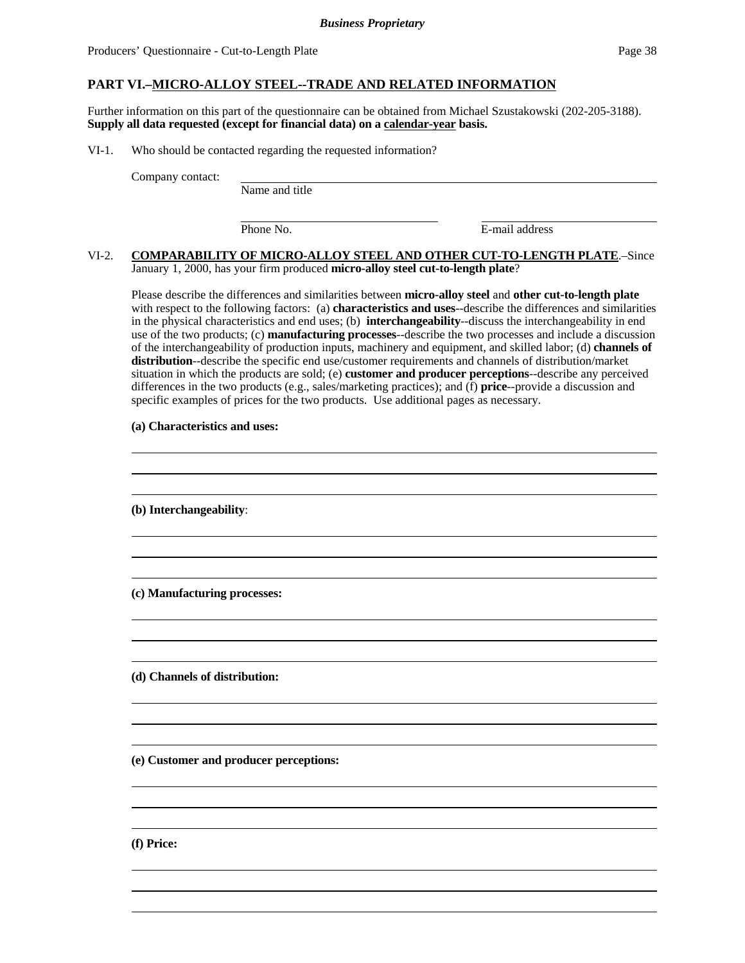### **PART VI.–MICRO-ALLOY STEEL--TRADE AND RELATED INFORMATION**

Further information on this part of the questionnaire can be obtained from Michael Szustakowski (202-205-3188). **Supply all data requested (except for financial data) on a calendar-year basis.**

VI-1. Who should be contacted regarding the requested information?

Company contact:

Name and title

l

Phone No. **E**-mail address

#### VI-2. **COMPARABILITY OF MICRO-ALLOY STEEL AND OTHER CUT-TO-LENGTH PLATE**.–Since January 1, 2000, has your firm produced **micro-alloy steel cut-to-length plate**?

Please describe the differences and similarities between **micro-alloy steel** and **other cut-to-length plate** with respect to the following factors: (a) **characteristics and uses**--describe the differences and similarities in the physical characteristics and end uses; (b) **interchangeability**--discuss the interchangeability in end use of the two products; (c) **manufacturing processes**--describe the two processes and include a discussion of the interchangeability of production inputs, machinery and equipment, and skilled labor; (d) **channels of distribution**--describe the specific end use/customer requirements and channels of distribution/market situation in which the products are sold; (e) **customer and producer perceptions**--describe any perceived differences in the two products (e.g., sales/marketing practices); and (f) **price**--provide a discussion and specific examples of prices for the two products. Use additional pages as necessary.

 

#### **(a) Characteristics and uses:**

**(b) Interchangeability**:

**(c) Manufacturing processes:**

**(d) Channels of distribution:**

**(e) Customer and producer perceptions:**

**(f) Price:**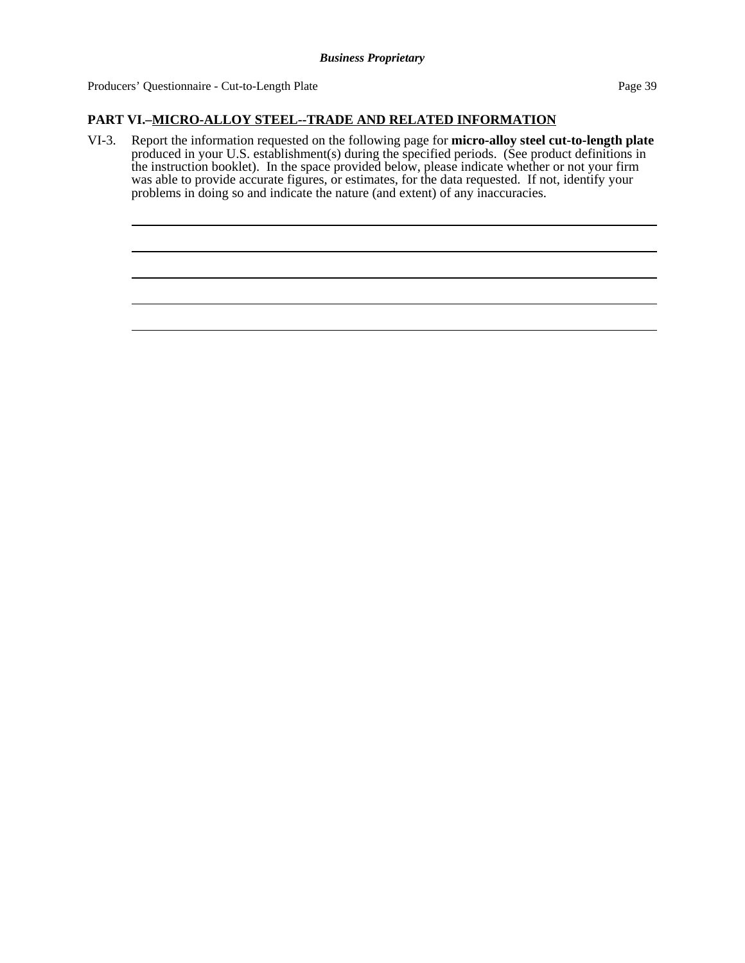Producers' Questionnaire - Cut-to-Length Plate Page 39

## **PART VI.–MICRO-ALLOY STEEL--TRADE AND RELATED INFORMATION**

VI-3. Report the information requested on the following page for **micro-alloy steel cut-to-length plate** produced in your U.S. establishment(s) during the specified periods. (See product definitions in the instruction booklet). In the space provided below, please indicate whether or not your firm was able to provide accurate figures, or estimates, for the data requested. If not, identify your problems in doing so and indicate the nature (and extent) of any inaccuracies.